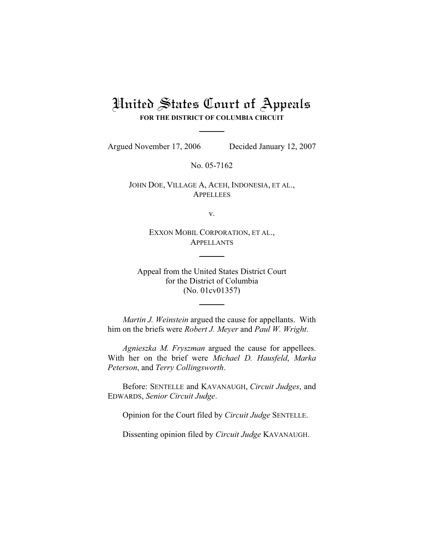# United States Court of Appeals **FOR THE DISTRICT OF COLUMBIA CIRCUIT**

Argued November 17, 2006 Decided January 12, 2007

No. 05-7162

JOHN DOE, VILLAGE A, ACEH, INDONESIA, ET AL., **APPELLEES** 

v.

EXXON MOBIL CORPORATION, ET AL., APPELLANTS

Appeal from the United States District Court for the District of Columbia (No. 01cv01357)

*Martin J. Weinstein* argued the cause for appellants. With him on the briefs were *Robert J. Meyer* and *Paul W. Wright*.

*Agnieszka M. Fryszman* argued the cause for appellees. With her on the brief were *Michael D. Hausfeld*, *Marka Peterson*, and *Terry Collingsworth*.

Before: SENTELLE and KAVANAUGH, *Circuit Judges*, and EDWARDS, *Senior Circuit Judge*.

Opinion for the Court filed by *Circuit Judge* SENTELLE.

Dissenting opinion filed by *Circuit Judge* KAVANAUGH.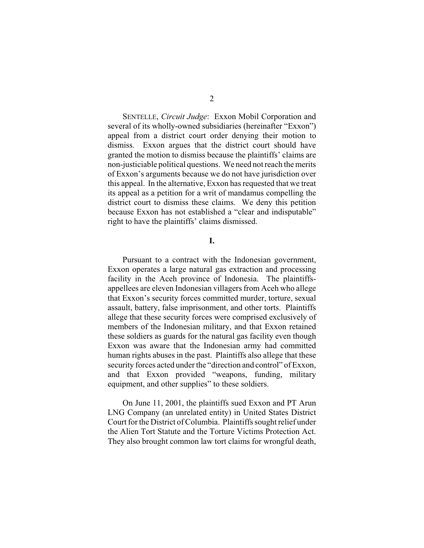SENTELLE, *Circuit Judge*: Exxon Mobil Corporation and several of its wholly-owned subsidiaries (hereinafter "Exxon") appeal from a district court order denying their motion to dismiss. Exxon argues that the district court should have granted the motion to dismiss because the plaintiffs' claims are non-justiciable political questions. We need not reach the merits of Exxon's arguments because we do not have jurisdiction over this appeal. In the alternative, Exxon has requested that we treat its appeal as a petition for a writ of mandamus compelling the district court to dismiss these claims. We deny this petition because Exxon has not established a "clear and indisputable" right to have the plaintiffs' claims dismissed.

**I.**

Pursuant to a contract with the Indonesian government, Exxon operates a large natural gas extraction and processing facility in the Aceh province of Indonesia. The plaintiffsappellees are eleven Indonesian villagers from Aceh who allege that Exxon's security forces committed murder, torture, sexual assault, battery, false imprisonment, and other torts. Plaintiffs allege that these security forces were comprised exclusively of members of the Indonesian military, and that Exxon retained these soldiers as guards for the natural gas facility even though Exxon was aware that the Indonesian army had committed human rights abuses in the past. Plaintiffs also allege that these security forces acted under the "direction and control" of Exxon, and that Exxon provided "weapons, funding, military equipment, and other supplies" to these soldiers.

On June 11, 2001, the plaintiffs sued Exxon and PT Arun LNG Company (an unrelated entity) in United States District Court for the District of Columbia. Plaintiffs sought relief under the Alien Tort Statute and the Torture Victims Protection Act. They also brought common law tort claims for wrongful death,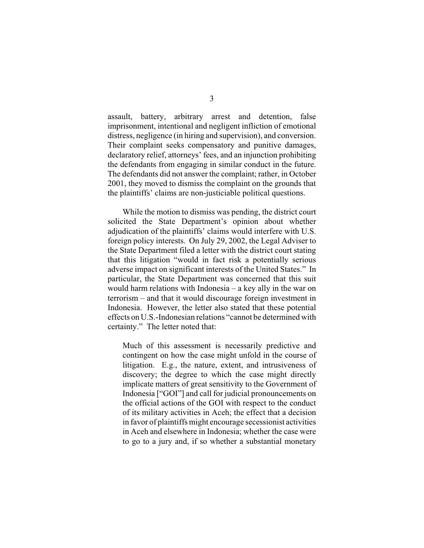assault, battery, arbitrary arrest and detention, false imprisonment, intentional and negligent infliction of emotional distress, negligence (in hiring and supervision), and conversion. Their complaint seeks compensatory and punitive damages, declaratory relief, attorneys' fees, and an injunction prohibiting the defendants from engaging in similar conduct in the future. The defendants did not answer the complaint; rather, in October 2001, they moved to dismiss the complaint on the grounds that the plaintiffs' claims are non-justiciable political questions.

While the motion to dismiss was pending, the district court solicited the State Department's opinion about whether adjudication of the plaintiffs' claims would interfere with U.S. foreign policy interests. On July 29, 2002, the Legal Adviser to the State Department filed a letter with the district court stating that this litigation "would in fact risk a potentially serious adverse impact on significant interests of the United States." In particular, the State Department was concerned that this suit would harm relations with Indonesia – a key ally in the war on terrorism – and that it would discourage foreign investment in Indonesia. However, the letter also stated that these potential effects on U.S.-Indonesian relations "cannot be determined with certainty." The letter noted that:

Much of this assessment is necessarily predictive and contingent on how the case might unfold in the course of litigation. E.g., the nature, extent, and intrusiveness of discovery; the degree to which the case might directly implicate matters of great sensitivity to the Government of Indonesia ["GOI"] and call for judicial pronouncements on the official actions of the GOI with respect to the conduct of its military activities in Aceh; the effect that a decision in favor of plaintiffs might encourage secessionist activities in Aceh and elsewhere in Indonesia; whether the case were to go to a jury and, if so whether a substantial monetary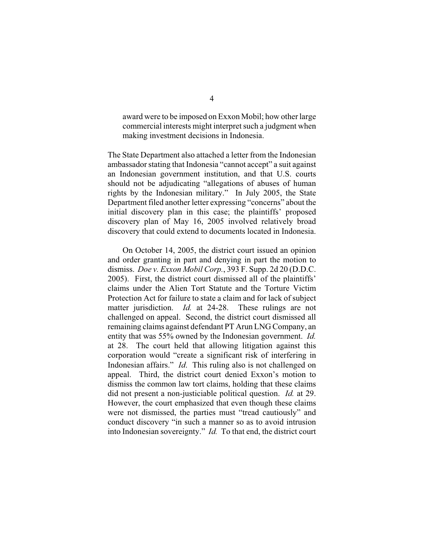award were to be imposed on Exxon Mobil; how other large commercial interests might interpret such a judgment when making investment decisions in Indonesia.

The State Department also attached a letter from the Indonesian ambassador stating that Indonesia "cannot accept" a suit against an Indonesian government institution, and that U.S. courts should not be adjudicating "allegations of abuses of human rights by the Indonesian military." In July 2005, the State Department filed another letter expressing "concerns" about the initial discovery plan in this case; the plaintiffs' proposed discovery plan of May 16, 2005 involved relatively broad discovery that could extend to documents located in Indonesia.

On October 14, 2005, the district court issued an opinion and order granting in part and denying in part the motion to dismiss. *Doe v. Exxon Mobil Corp.*, 393 F. Supp. 2d 20 (D.D.C. 2005). First, the district court dismissed all of the plaintiffs' claims under the Alien Tort Statute and the Torture Victim Protection Act for failure to state a claim and for lack of subject matter jurisdiction. *Id.* at 24-28. These rulings are not challenged on appeal. Second, the district court dismissed all remaining claims against defendant PT Arun LNG Company, an entity that was 55% owned by the Indonesian government. *Id.* at 28. The court held that allowing litigation against this corporation would "create a significant risk of interfering in Indonesian affairs." *Id*. This ruling also is not challenged on appeal. Third, the district court denied Exxon's motion to dismiss the common law tort claims, holding that these claims did not present a non-justiciable political question. *Id.* at 29. However, the court emphasized that even though these claims were not dismissed, the parties must "tread cautiously" and conduct discovery "in such a manner so as to avoid intrusion into Indonesian sovereignty." *Id.* To that end, the district court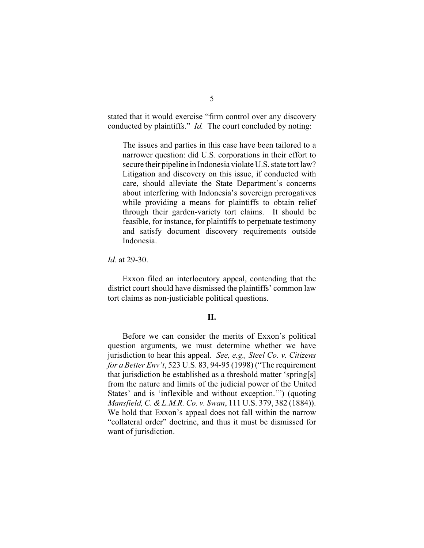stated that it would exercise "firm control over any discovery conducted by plaintiffs." *Id.* The court concluded by noting:

The issues and parties in this case have been tailored to a narrower question: did U.S. corporations in their effort to secure their pipeline in Indonesia violate U.S. state tort law? Litigation and discovery on this issue, if conducted with care, should alleviate the State Department's concerns about interfering with Indonesia's sovereign prerogatives while providing a means for plaintiffs to obtain relief through their garden-variety tort claims. It should be feasible, for instance, for plaintiffs to perpetuate testimony and satisfy document discovery requirements outside Indonesia.

*Id.* at 29-30.

Exxon filed an interlocutory appeal, contending that the district court should have dismissed the plaintiffs' common law tort claims as non-justiciable political questions.

## **II.**

Before we can consider the merits of Exxon's political question arguments, we must determine whether we have jurisdiction to hear this appeal. *See, e.g., Steel Co. v. Citizens for a Better Env't*, 523 U.S. 83, 94-95 (1998) ("The requirement that jurisdiction be established as a threshold matter 'spring[s] from the nature and limits of the judicial power of the United States' and is 'inflexible and without exception.'") (quoting *Mansfield, C. & L.M.R. Co. v. Swan*, 111 U.S. 379, 382 (1884)). We hold that Exxon's appeal does not fall within the narrow "collateral order" doctrine, and thus it must be dismissed for want of jurisdiction.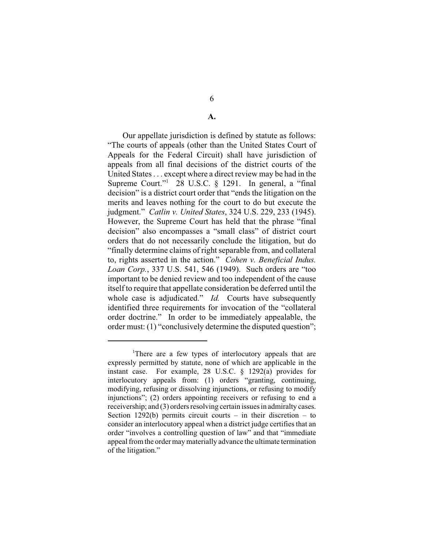**A.**

Our appellate jurisdiction is defined by statute as follows: "The courts of appeals (other than the United States Court of Appeals for the Federal Circuit) shall have jurisdiction of appeals from all final decisions of the district courts of the United States . . . except where a direct review may be had in the Supreme Court."<sup>1</sup> 28 U.S.C. § 1291. In general, a "final decision" is a district court order that "ends the litigation on the merits and leaves nothing for the court to do but execute the judgment." *Catlin v. United States*, 324 U.S. 229, 233 (1945). However, the Supreme Court has held that the phrase "final decision" also encompasses a "small class" of district court orders that do not necessarily conclude the litigation, but do "finally determine claims of right separable from, and collateral to, rights asserted in the action." *Cohen v. Beneficial Indus. Loan Corp.*, 337 U.S. 541, 546 (1949). Such orders are "too important to be denied review and too independent of the cause itself to require that appellate consideration be deferred until the whole case is adjudicated." *Id.* Courts have subsequently identified three requirements for invocation of the "collateral order doctrine." In order to be immediately appealable, the order must: (1) "conclusively determine the disputed question";

<sup>&</sup>lt;sup>1</sup>There are a few types of interlocutory appeals that are expressly permitted by statute, none of which are applicable in the instant case. For example, 28 U.S.C. § 1292(a) provides for interlocutory appeals from: (1) orders "granting, continuing, modifying, refusing or dissolving injunctions, or refusing to modify injunctions"; (2) orders appointing receivers or refusing to end a receivership; and (3) orders resolving certain issues in admiralty cases. Section 1292(b) permits circuit courts – in their discretion – to consider an interlocutory appeal when a district judge certifies that an order "involves a controlling question of law" and that "immediate appeal from the order may materially advance the ultimate termination of the litigation."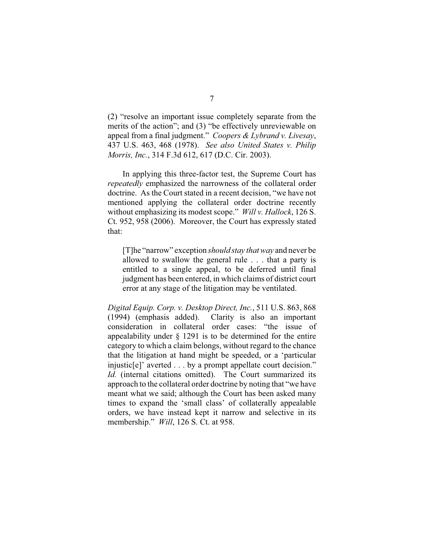(2) "resolve an important issue completely separate from the merits of the action"; and (3) "be effectively unreviewable on appeal from a final judgment." *Coopers & Lybrand v. Livesay*, 437 U.S. 463, 468 (1978). *See also United States v. Philip Morris, Inc.*, 314 F.3d 612, 617 (D.C. Cir. 2003).

In applying this three-factor test, the Supreme Court has *repeatedly* emphasized the narrowness of the collateral order doctrine. As the Court stated in a recent decision, "we have not mentioned applying the collateral order doctrine recently without emphasizing its modest scope." *Will v. Hallock*, 126 S. Ct. 952, 958 (2006). Moreover, the Court has expressly stated that:

[T]he "narrow" exception *should stay that way* and never be allowed to swallow the general rule . . . that a party is entitled to a single appeal, to be deferred until final judgment has been entered, in which claims of district court error at any stage of the litigation may be ventilated.

*Digital Equip. Corp. v. Desktop Direct, Inc.*, 511 U.S. 863, 868 (1994) (emphasis added). Clarity is also an important consideration in collateral order cases: "the issue of appealability under § 1291 is to be determined for the entire category to which a claim belongs, without regard to the chance that the litigation at hand might be speeded, or a 'particular injustic[e]' averted . . . by a prompt appellate court decision." *Id.* (internal citations omitted). The Court summarized its approach to the collateral order doctrine by noting that "we have meant what we said; although the Court has been asked many times to expand the 'small class' of collaterally appealable orders, we have instead kept it narrow and selective in its membership." *Will*, 126 S. Ct. at 958.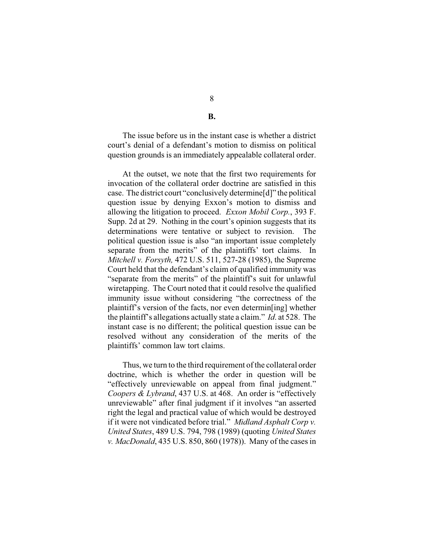The issue before us in the instant case is whether a district court's denial of a defendant's motion to dismiss on political question grounds is an immediately appealable collateral order.

At the outset, we note that the first two requirements for invocation of the collateral order doctrine are satisfied in this case. The district court "conclusively determine[d]" the political question issue by denying Exxon's motion to dismiss and allowing the litigation to proceed. *Exxon Mobil Corp.*, 393 F. Supp. 2d at 29. Nothing in the court's opinion suggests that its determinations were tentative or subject to revision. The political question issue is also "an important issue completely separate from the merits" of the plaintiffs' tort claims. In *Mitchell v. Forsyth,* 472 U.S. 511, 527-28 (1985), the Supreme Court held that the defendant's claim of qualified immunity was "separate from the merits" of the plaintiff's suit for unlawful wiretapping. The Court noted that it could resolve the qualified immunity issue without considering "the correctness of the plaintiff's version of the facts, nor even determin[ing] whether the plaintiff's allegations actually state a claim." *Id*. at 528. The instant case is no different; the political question issue can be resolved without any consideration of the merits of the plaintiffs' common law tort claims.

Thus, we turn to the third requirement of the collateral order doctrine, which is whether the order in question will be "effectively unreviewable on appeal from final judgment." *Coopers & Lybrand*, 437 U.S. at 468. An order is "effectively unreviewable" after final judgment if it involves "an asserted right the legal and practical value of which would be destroyed if it were not vindicated before trial." *Midland Asphalt Corp v. United States*, 489 U.S. 794, 798 (1989) (quoting *United States v. MacDonald*, 435 U.S. 850, 860 (1978)). Many of the cases in

**B.**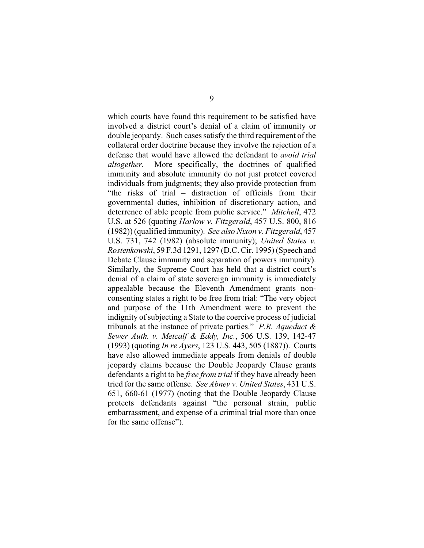which courts have found this requirement to be satisfied have involved a district court's denial of a claim of immunity or double jeopardy. Such cases satisfy the third requirement of the collateral order doctrine because they involve the rejection of a defense that would have allowed the defendant to *avoid trial altogether.* More specifically, the doctrines of qualified immunity and absolute immunity do not just protect covered individuals from judgments; they also provide protection from "the risks of trial – distraction of officials from their governmental duties, inhibition of discretionary action, and deterrence of able people from public service." *Mitchell*, 472 U.S. at 526 (quoting *Harlow v. Fitzgerald*, 457 U.S. 800, 816 (1982)) (qualified immunity). *See also Nixon v. Fitzgerald*, 457 U.S. 731, 742 (1982) (absolute immunity); *United States v. Rostenkowski*, 59 F.3d 1291, 1297 (D.C. Cir. 1995) (Speech and Debate Clause immunity and separation of powers immunity). Similarly, the Supreme Court has held that a district court's denial of a claim of state sovereign immunity is immediately appealable because the Eleventh Amendment grants nonconsenting states a right to be free from trial: "The very object and purpose of the 11th Amendment were to prevent the indignity of subjecting a State to the coercive process of judicial tribunals at the instance of private parties." *P.R. Aqueduct & Sewer Auth. v. Metcalf & Eddy, Inc.*, 506 U.S. 139, 142-47 (1993) (quoting *In re Ayers*, 123 U.S. 443, 505 (1887)). Courts have also allowed immediate appeals from denials of double jeopardy claims because the Double Jeopardy Clause grants defendants a right to be *free from trial* if they have already been tried for the same offense. *See Abney v. United States*, 431 U.S. 651, 660-61 (1977) (noting that the Double Jeopardy Clause protects defendants against "the personal strain, public embarrassment, and expense of a criminal trial more than once for the same offense").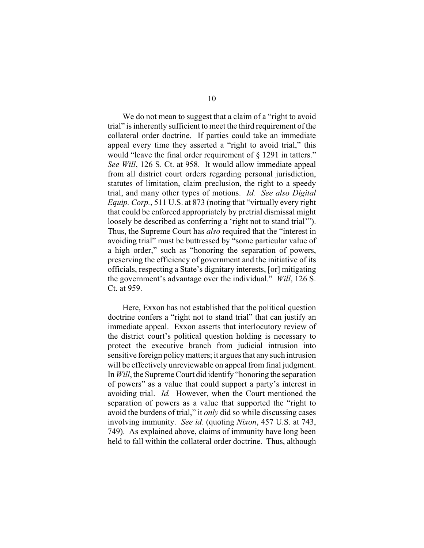We do not mean to suggest that a claim of a "right to avoid" trial" is inherently sufficient to meet the third requirement of the collateral order doctrine. If parties could take an immediate appeal every time they asserted a "right to avoid trial," this would "leave the final order requirement of § 1291 in tatters." *See Will*, 126 S. Ct. at 958. It would allow immediate appeal from all district court orders regarding personal jurisdiction, statutes of limitation, claim preclusion, the right to a speedy trial, and many other types of motions. *Id. See also Digital Equip. Corp.*, 511 U.S. at 873 (noting that "virtually every right that could be enforced appropriately by pretrial dismissal might loosely be described as conferring a 'right not to stand trial'". Thus, the Supreme Court has *also* required that the "interest in avoiding trial" must be buttressed by "some particular value of a high order," such as "honoring the separation of powers, preserving the efficiency of government and the initiative of its officials, respecting a State's dignitary interests, [or] mitigating the government's advantage over the individual." *Will*, 126 S. Ct. at 959.

Here, Exxon has not established that the political question doctrine confers a "right not to stand trial" that can justify an immediate appeal. Exxon asserts that interlocutory review of the district court's political question holding is necessary to protect the executive branch from judicial intrusion into sensitive foreign policy matters; it argues that any such intrusion will be effectively unreviewable on appeal from final judgment. In *Will*, the Supreme Court did identify "honoring the separation of powers" as a value that could support a party's interest in avoiding trial. *Id.* However, when the Court mentioned the separation of powers as a value that supported the "right to avoid the burdens of trial," it *only* did so while discussing cases involving immunity. *See id.* (quoting *Nixon*, 457 U.S. at 743, 749). As explained above, claims of immunity have long been held to fall within the collateral order doctrine. Thus, although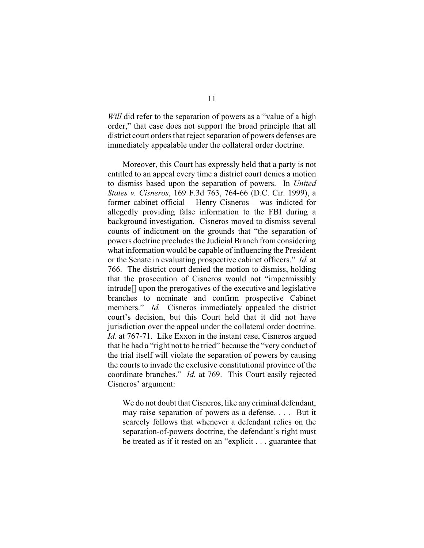*Will* did refer to the separation of powers as a "value of a high order," that case does not support the broad principle that all district court orders that reject separation of powers defenses are immediately appealable under the collateral order doctrine.

Moreover, this Court has expressly held that a party is not entitled to an appeal every time a district court denies a motion to dismiss based upon the separation of powers. In *United States v. Cisneros*, 169 F.3d 763, 764-66 (D.C. Cir. 1999), a former cabinet official – Henry Cisneros – was indicted for allegedly providing false information to the FBI during a background investigation. Cisneros moved to dismiss several counts of indictment on the grounds that "the separation of powers doctrine precludes the Judicial Branch from considering what information would be capable of influencing the President or the Senate in evaluating prospective cabinet officers." *Id.* at 766. The district court denied the motion to dismiss, holding that the prosecution of Cisneros would not "impermissibly intrude[] upon the prerogatives of the executive and legislative branches to nominate and confirm prospective Cabinet members." *Id.* Cisneros immediately appealed the district court's decision, but this Court held that it did not have jurisdiction over the appeal under the collateral order doctrine. *Id.* at 767-71. Like Exxon in the instant case, Cisneros argued that he had a "right not to be tried" because the "very conduct of the trial itself will violate the separation of powers by causing the courts to invade the exclusive constitutional province of the coordinate branches." *Id.* at 769. This Court easily rejected Cisneros' argument:

We do not doubt that Cisneros, like any criminal defendant, may raise separation of powers as a defense. . . . But it scarcely follows that whenever a defendant relies on the separation-of-powers doctrine, the defendant's right must be treated as if it rested on an "explicit . . . guarantee that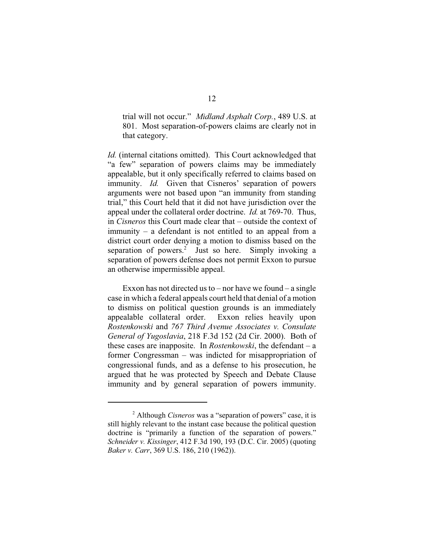trial will not occur." *Midland Asphalt Corp.*, 489 U.S. at 801. Most separation-of-powers claims are clearly not in that category.

*Id.* (internal citations omitted). This Court acknowledged that "a few" separation of powers claims may be immediately appealable, but it only specifically referred to claims based on immunity. *Id.* Given that Cisneros' separation of powers arguments were not based upon "an immunity from standing trial," this Court held that it did not have jurisdiction over the appeal under the collateral order doctrine. *Id.* at 769-70. Thus, in *Cisneros* this Court made clear that – outside the context of immunity – a defendant is not entitled to an appeal from a district court order denying a motion to dismiss based on the separation of powers.<sup>2</sup> Just so here. Simply invoking a separation of powers defense does not permit Exxon to pursue an otherwise impermissible appeal.

Exxon has not directed us to – nor have we found – a single case in which a federal appeals court held that denial of a motion to dismiss on political question grounds is an immediately appealable collateral order. Exxon relies heavily upon *Rostenkowski* and *767 Third Avenue Associates v. Consulate General of Yugoslavia*, 218 F.3d 152 (2d Cir. 2000). Both of these cases are inapposite. In *Rostenkowski*, the defendant – a former Congressman – was indicted for misappropriation of congressional funds, and as a defense to his prosecution, he argued that he was protected by Speech and Debate Clause immunity and by general separation of powers immunity.

<sup>&</sup>lt;sup>2</sup> Although *Cisneros* was a "separation of powers" case, it is still highly relevant to the instant case because the political question doctrine is "primarily a function of the separation of powers." *Schneider v. Kissinger*, 412 F.3d 190, 193 (D.C. Cir. 2005) (quoting *Baker v. Carr*, 369 U.S. 186, 210 (1962)).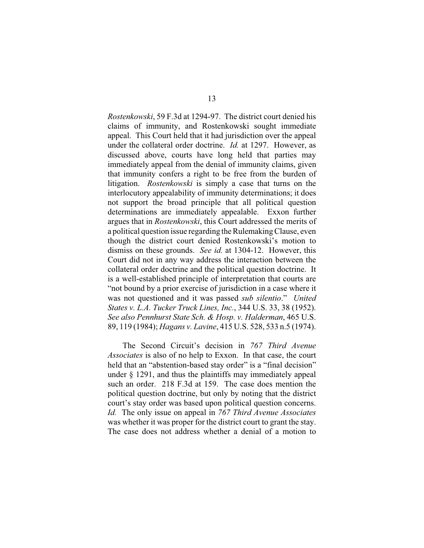*Rostenkowski*, 59 F.3d at 1294-97. The district court denied his claims of immunity, and Rostenkowski sought immediate appeal. This Court held that it had jurisdiction over the appeal under the collateral order doctrine. *Id.* at 1297. However, as discussed above, courts have long held that parties may immediately appeal from the denial of immunity claims, given that immunity confers a right to be free from the burden of litigation. *Rostenkowski* is simply a case that turns on the interlocutory appealability of immunity determinations; it does not support the broad principle that all political question determinations are immediately appealable. Exxon further argues that in *Rostenkowski*, this Court addressed the merits of a political question issue regarding the Rulemaking Clause, even though the district court denied Rostenkowski's motion to dismiss on these grounds. *See id.* at 1304-12. However, this Court did not in any way address the interaction between the collateral order doctrine and the political question doctrine. It is a well-established principle of interpretation that courts are "not bound by a prior exercise of jurisdiction in a case where it was not questioned and it was passed *sub silentio*." *United States v. L.A. Tucker Truck Lines, Inc.*, 344 U.S. 33, 38 (1952). *See also Pennhurst State Sch. & Hosp. v. Halderman*, 465 U.S. 89, 119 (1984); *Hagans v. Lavine*, 415 U.S. 528, 533 n.5 (1974).

The Second Circuit's decision in *767 Third Avenue Associates* is also of no help to Exxon. In that case, the court held that an "abstention-based stay order" is a "final decision" under § 1291, and thus the plaintiffs may immediately appeal such an order. 218 F.3d at 159. The case does mention the political question doctrine, but only by noting that the district court's stay order was based upon political question concerns. *Id.* The only issue on appeal in *767 Third Avenue Associates* was whether it was proper for the district court to grant the stay. The case does not address whether a denial of a motion to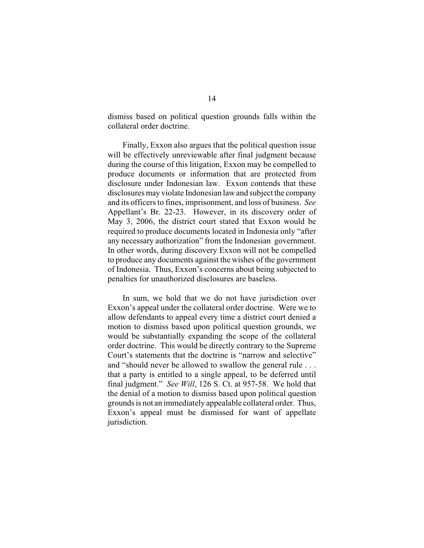dismiss based on political question grounds falls within the collateral order doctrine.

Finally, Exxon also argues that the political question issue will be effectively unreviewable after final judgment because during the course of this litigation, Exxon may be compelled to produce documents or information that are protected from disclosure under Indonesian law. Exxon contends that these disclosures may violate Indonesian law and subject the company and its officers to fines, imprisonment, and loss of business. *See* Appellant's Br. 22-23. However, in its discovery order of May 3, 2006, the district court stated that Exxon would be required to produce documents located in Indonesia only "after any necessary authorization" from the Indonesian government. In other words, during discovery Exxon will not be compelled to produce any documents against the wishes of the government of Indonesia. Thus, Exxon's concerns about being subjected to penalties for unauthorized disclosures are baseless.

In sum, we hold that we do not have jurisdiction over Exxon's appeal under the collateral order doctrine. Were we to allow defendants to appeal every time a district court denied a motion to dismiss based upon political question grounds, we would be substantially expanding the scope of the collateral order doctrine. This would be directly contrary to the Supreme Court's statements that the doctrine is "narrow and selective" and "should never be allowed to swallow the general rule . . . that a party is entitled to a single appeal, to be deferred until final judgment." *See Will*, 126 S. Ct. at 957-58. We hold that the denial of a motion to dismiss based upon political question grounds is not an immediately appealable collateral order. Thus, Exxon's appeal must be dismissed for want of appellate jurisdiction.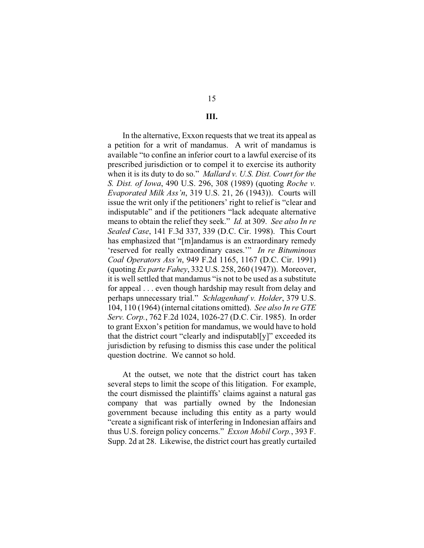# **III.**

In the alternative, Exxon requests that we treat its appeal as a petition for a writ of mandamus. A writ of mandamus is available "to confine an inferior court to a lawful exercise of its prescribed jurisdiction or to compel it to exercise its authority when it is its duty to do so." *Mallard v. U.S. Dist. Court for the S. Dist. of Iowa*, 490 U.S. 296, 308 (1989) (quoting *Roche v. Evaporated Milk Ass'n*, 319 U.S. 21, 26 (1943)). Courts will issue the writ only if the petitioners' right to relief is "clear and indisputable" and if the petitioners "lack adequate alternative means to obtain the relief they seek." *Id.* at 309. *See also In re Sealed Case*, 141 F.3d 337, 339 (D.C. Cir. 1998). This Court has emphasized that "[m]andamus is an extraordinary remedy 'reserved for really extraordinary cases.'" *In re Bituminous Coal Operators Ass'n*, 949 F.2d 1165, 1167 (D.C. Cir. 1991) (quoting *Ex parte Fahey*, 332 U.S. 258, 260 (1947)). Moreover, it is well settled that mandamus "is not to be used as a substitute for appeal . . . even though hardship may result from delay and perhaps unnecessary trial." *Schlagenhauf v. Holder*, 379 U.S. 104, 110 (1964) (internal citations omitted). *See also In re GTE Serv. Corp.*, 762 F.2d 1024, 1026-27 (D.C. Cir. 1985). In order to grant Exxon's petition for mandamus, we would have to hold that the district court "clearly and indisputabl[y]" exceeded its jurisdiction by refusing to dismiss this case under the political question doctrine. We cannot so hold.

At the outset, we note that the district court has taken several steps to limit the scope of this litigation. For example, the court dismissed the plaintiffs' claims against a natural gas company that was partially owned by the Indonesian government because including this entity as a party would "create a significant risk of interfering in Indonesian affairs and thus U.S. foreign policy concerns." *Exxon Mobil Corp.*, 393 F. Supp. 2d at 28. Likewise, the district court has greatly curtailed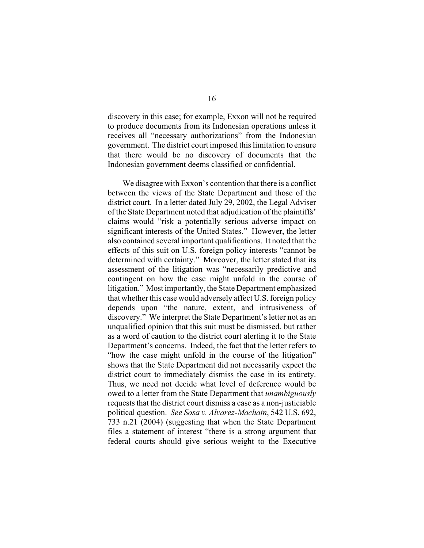discovery in this case; for example, Exxon will not be required to produce documents from its Indonesian operations unless it receives all "necessary authorizations" from the Indonesian government. The district court imposed this limitation to ensure that there would be no discovery of documents that the Indonesian government deems classified or confidential.

We disagree with Exxon's contention that there is a conflict between the views of the State Department and those of the district court. In a letter dated July 29, 2002, the Legal Adviser of the State Department noted that adjudication of the plaintiffs' claims would "risk a potentially serious adverse impact on significant interests of the United States." However, the letter also contained several important qualifications. It noted that the effects of this suit on U.S. foreign policy interests "cannot be determined with certainty." Moreover, the letter stated that its assessment of the litigation was "necessarily predictive and contingent on how the case might unfold in the course of litigation." Most importantly, the State Department emphasized that whether this case would adversely affect U.S. foreign policy depends upon "the nature, extent, and intrusiveness of discovery." We interpret the State Department's letter not as an unqualified opinion that this suit must be dismissed, but rather as a word of caution to the district court alerting it to the State Department's concerns. Indeed, the fact that the letter refers to "how the case might unfold in the course of the litigation" shows that the State Department did not necessarily expect the district court to immediately dismiss the case in its entirety. Thus, we need not decide what level of deference would be owed to a letter from the State Department that *unambiguously* requests that the district court dismiss a case as a non-justiciable political question. *See Sosa v. Alvarez-Machain*, 542 U.S. 692, 733 n.21 (2004) (suggesting that when the State Department files a statement of interest "there is a strong argument that federal courts should give serious weight to the Executive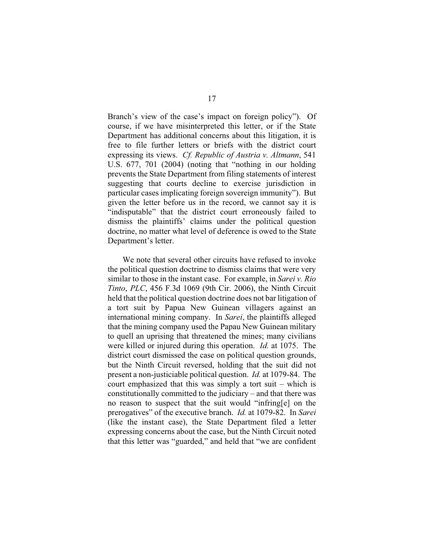Branch's view of the case's impact on foreign policy"). Of course, if we have misinterpreted this letter, or if the State Department has additional concerns about this litigation, it is free to file further letters or briefs with the district court expressing its views. *Cf. Republic of Austria v. Altmann*, 541 U.S. 677, 701 (2004) (noting that "nothing in our holding prevents the State Department from filing statements of interest suggesting that courts decline to exercise jurisdiction in particular cases implicating foreign sovereign immunity"). But given the letter before us in the record, we cannot say it is "indisputable" that the district court erroneously failed to dismiss the plaintiffs' claims under the political question doctrine, no matter what level of deference is owed to the State Department's letter.

We note that several other circuits have refused to invoke the political question doctrine to dismiss claims that were very similar to those in the instant case. For example, in *Sarei v. Rio Tinto*, *PLC*, 456 F.3d 1069 (9th Cir. 2006), the Ninth Circuit held that the political question doctrine does not bar litigation of a tort suit by Papua New Guinean villagers against an international mining company. In *Sarei*, the plaintiffs alleged that the mining company used the Papau New Guinean military to quell an uprising that threatened the mines; many civilians were killed or injured during this operation. *Id.* at 1075. The district court dismissed the case on political question grounds, but the Ninth Circuit reversed, holding that the suit did not present a non-justiciable political question. *Id.* at 1079-84. The court emphasized that this was simply a tort suit – which is constitutionally committed to the judiciary – and that there was no reason to suspect that the suit would "infring[e] on the prerogatives" of the executive branch. *Id.* at 1079-82. In *Sarei* (like the instant case), the State Department filed a letter expressing concerns about the case, but the Ninth Circuit noted that this letter was "guarded," and held that "we are confident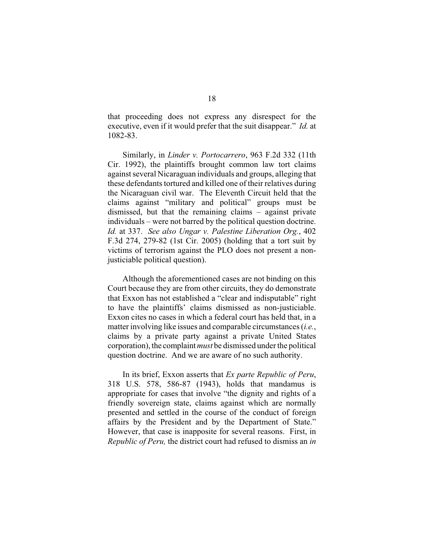that proceeding does not express any disrespect for the executive, even if it would prefer that the suit disappear." *Id.* at 1082-83.

Similarly, in *Linder v. Portocarrero*, 963 F.2d 332 (11th Cir. 1992), the plaintiffs brought common law tort claims against several Nicaraguan individuals and groups, alleging that these defendants tortured and killed one of their relatives during the Nicaraguan civil war. The Eleventh Circuit held that the claims against "military and political" groups must be dismissed, but that the remaining claims – against private individuals – were not barred by the political question doctrine. *Id.* at 337. *See also Ungar v. Palestine Liberation Org.*, 402 F.3d 274, 279-82 (1st Cir. 2005) (holding that a tort suit by victims of terrorism against the PLO does not present a nonjusticiable political question).

Although the aforementioned cases are not binding on this Court because they are from other circuits, they do demonstrate that Exxon has not established a "clear and indisputable" right to have the plaintiffs' claims dismissed as non-justiciable. Exxon cites no cases in which a federal court has held that, in a matter involving like issues and comparable circumstances (*i.e.*, claims by a private party against a private United States corporation), the complaint *must* be dismissed under the political question doctrine. And we are aware of no such authority.

In its brief, Exxon asserts that *Ex parte Republic of Peru*, 318 U.S. 578, 586-87 (1943), holds that mandamus is appropriate for cases that involve "the dignity and rights of a friendly sovereign state, claims against which are normally presented and settled in the course of the conduct of foreign affairs by the President and by the Department of State." However, that case is inapposite for several reasons. First, in *Republic of Peru,* the district court had refused to dismiss an *in*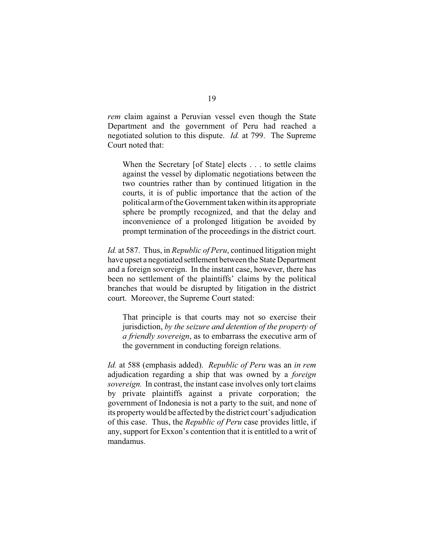*rem* claim against a Peruvian vessel even though the State Department and the government of Peru had reached a negotiated solution to this dispute. *Id.* at 799. The Supreme Court noted that:

When the Secretary [of State] elects . . . to settle claims against the vessel by diplomatic negotiations between the two countries rather than by continued litigation in the courts, it is of public importance that the action of the political arm of the Government taken within its appropriate sphere be promptly recognized, and that the delay and inconvenience of a prolonged litigation be avoided by prompt termination of the proceedings in the district court.

*Id.* at 587. Thus, in *Republic of Peru*, continued litigation might have upset a negotiated settlement between the State Department and a foreign sovereign. In the instant case, however, there has been no settlement of the plaintiffs' claims by the political branches that would be disrupted by litigation in the district court. Moreover, the Supreme Court stated:

That principle is that courts may not so exercise their jurisdiction, *by the seizure and detention of the property of a friendly sovereign*, as to embarrass the executive arm of the government in conducting foreign relations.

*Id.* at 588 (emphasis added). *Republic of Peru* was an *in rem* adjudication regarding a ship that was owned by a *foreign sovereign.* In contrast, the instant case involves only tort claims by private plaintiffs against a private corporation; the government of Indonesia is not a party to the suit, and none of its property would be affected by the district court's adjudication of this case. Thus, the *Republic of Peru* case provides little, if any, support for Exxon's contention that it is entitled to a writ of mandamus.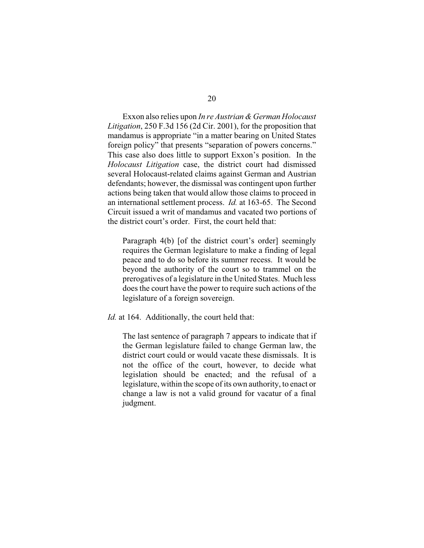Exxon also relies upon *In re Austrian & German Holocaust Litigation*, 250 F.3d 156 (2d Cir. 2001), for the proposition that mandamus is appropriate "in a matter bearing on United States foreign policy" that presents "separation of powers concerns." This case also does little to support Exxon's position. In the *Holocaust Litigation* case, the district court had dismissed several Holocaust-related claims against German and Austrian defendants; however, the dismissal was contingent upon further actions being taken that would allow those claims to proceed in an international settlement process. *Id.* at 163-65. The Second Circuit issued a writ of mandamus and vacated two portions of the district court's order. First, the court held that:

Paragraph 4(b) [of the district court's order] seemingly requires the German legislature to make a finding of legal peace and to do so before its summer recess. It would be beyond the authority of the court so to trammel on the prerogatives of a legislature in the United States. Much less does the court have the power to require such actions of the legislature of a foreign sovereign.

### *Id.* at 164. Additionally, the court held that:

The last sentence of paragraph 7 appears to indicate that if the German legislature failed to change German law, the district court could or would vacate these dismissals. It is not the office of the court, however, to decide what legislation should be enacted; and the refusal of a legislature, within the scope of its own authority, to enact or change a law is not a valid ground for vacatur of a final judgment.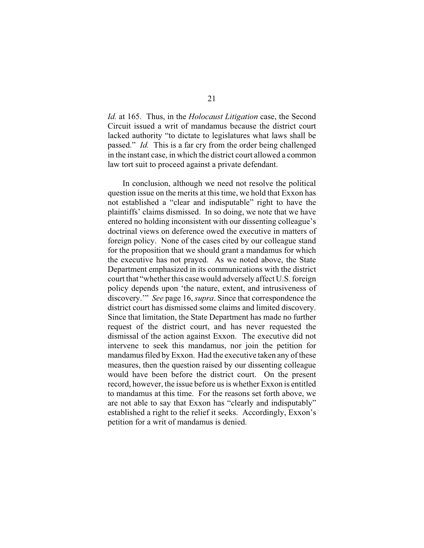*Id.* at 165. Thus, in the *Holocaust Litigation* case, the Second Circuit issued a writ of mandamus because the district court lacked authority "to dictate to legislatures what laws shall be passed." *Id.* This is a far cry from the order being challenged in the instant case, in which the district court allowed a common law tort suit to proceed against a private defendant.

In conclusion, although we need not resolve the political question issue on the merits at this time, we hold that Exxon has not established a "clear and indisputable" right to have the plaintiffs' claims dismissed. In so doing, we note that we have entered no holding inconsistent with our dissenting colleague's doctrinal views on deference owed the executive in matters of foreign policy. None of the cases cited by our colleague stand for the proposition that we should grant a mandamus for which the executive has not prayed. As we noted above, the State Department emphasized in its communications with the district court that "whether this case would adversely affect U.S. foreign policy depends upon 'the nature, extent, and intrusiveness of discovery.'" *See* page 16, *supra*. Since that correspondence the district court has dismissed some claims and limited discovery. Since that limitation, the State Department has made no further request of the district court, and has never requested the dismissal of the action against Exxon. The executive did not intervene to seek this mandamus, nor join the petition for mandamus filed by Exxon. Had the executive taken any of these measures, then the question raised by our dissenting colleague would have been before the district court. On the present record, however, the issue before us is whether Exxon is entitled to mandamus at this time. For the reasons set forth above, we are not able to say that Exxon has "clearly and indisputably" established a right to the relief it seeks. Accordingly, Exxon's petition for a writ of mandamus is denied.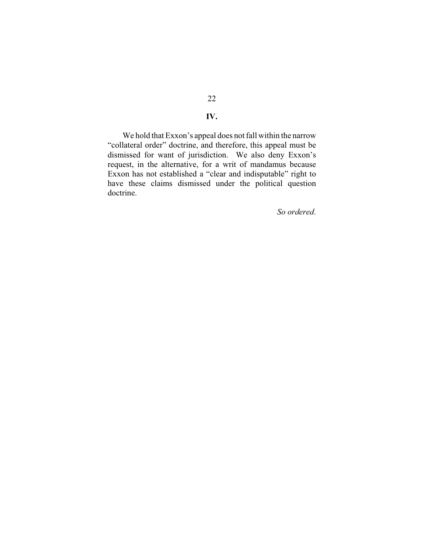## **IV.**

We hold that Exxon's appeal does not fall within the narrow "collateral order" doctrine, and therefore, this appeal must be dismissed for want of jurisdiction. We also deny Exxon's request, in the alternative, for a writ of mandamus because Exxon has not established a "clear and indisputable" right to have these claims dismissed under the political question doctrine.

*So ordered*.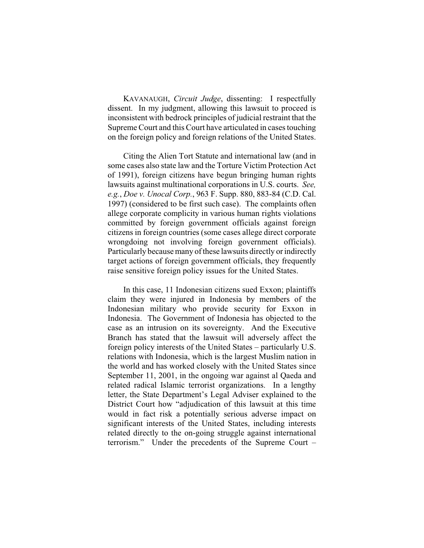KAVANAUGH, *Circuit Judge*, dissenting: I respectfully dissent. In my judgment, allowing this lawsuit to proceed is inconsistent with bedrock principles of judicial restraint that the Supreme Court and this Court have articulated in cases touching on the foreign policy and foreign relations of the United States.

Citing the Alien Tort Statute and international law (and in some cases also state law and the Torture Victim Protection Act of 1991), foreign citizens have begun bringing human rights lawsuits against multinational corporations in U.S. courts. *See, e.g.*, *Doe v. Unocal Corp.*, 963 F. Supp. 880, 883-84 (C.D. Cal. 1997) (considered to be first such case). The complaints often allege corporate complicity in various human rights violations committed by foreign government officials against foreign citizens in foreign countries (some cases allege direct corporate wrongdoing not involving foreign government officials). Particularly because many of these lawsuits directly or indirectly target actions of foreign government officials, they frequently raise sensitive foreign policy issues for the United States.

In this case, 11 Indonesian citizens sued Exxon; plaintiffs claim they were injured in Indonesia by members of the Indonesian military who provide security for Exxon in Indonesia. The Government of Indonesia has objected to the case as an intrusion on its sovereignty. And the Executive Branch has stated that the lawsuit will adversely affect the foreign policy interests of the United States – particularly U.S. relations with Indonesia, which is the largest Muslim nation in the world and has worked closely with the United States since September 11, 2001, in the ongoing war against al Qaeda and related radical Islamic terrorist organizations. In a lengthy letter, the State Department's Legal Adviser explained to the District Court how "adjudication of this lawsuit at this time would in fact risk a potentially serious adverse impact on significant interests of the United States, including interests related directly to the on-going struggle against international terrorism." Under the precedents of the Supreme Court –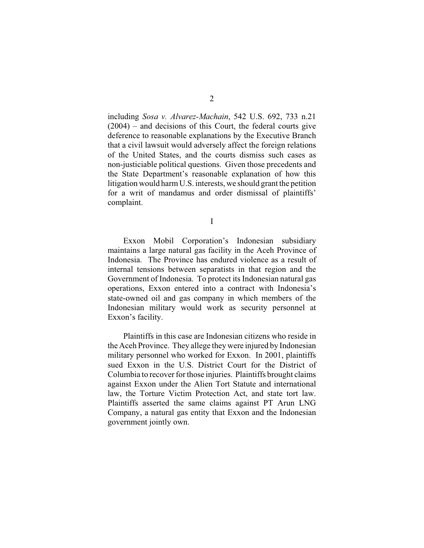including *Sosa v. Alvarez-Machain*, 542 U.S. 692, 733 n.21  $(2004)$  – and decisions of this Court, the federal courts give deference to reasonable explanations by the Executive Branch that a civil lawsuit would adversely affect the foreign relations of the United States, and the courts dismiss such cases as non-justiciable political questions. Given those precedents and the State Department's reasonable explanation of how this litigation would harm U.S. interests, we should grant the petition for a writ of mandamus and order dismissal of plaintiffs' complaint.

I

Exxon Mobil Corporation's Indonesian subsidiary maintains a large natural gas facility in the Aceh Province of Indonesia. The Province has endured violence as a result of internal tensions between separatists in that region and the Government of Indonesia. To protect its Indonesian natural gas operations, Exxon entered into a contract with Indonesia's state-owned oil and gas company in which members of the Indonesian military would work as security personnel at Exxon's facility.

Plaintiffs in this case are Indonesian citizens who reside in the Aceh Province. They allege they were injured by Indonesian military personnel who worked for Exxon. In 2001, plaintiffs sued Exxon in the U.S. District Court for the District of Columbia to recover for those injuries. Plaintiffs brought claims against Exxon under the Alien Tort Statute and international law, the Torture Victim Protection Act, and state tort law. Plaintiffs asserted the same claims against PT Arun LNG Company, a natural gas entity that Exxon and the Indonesian government jointly own.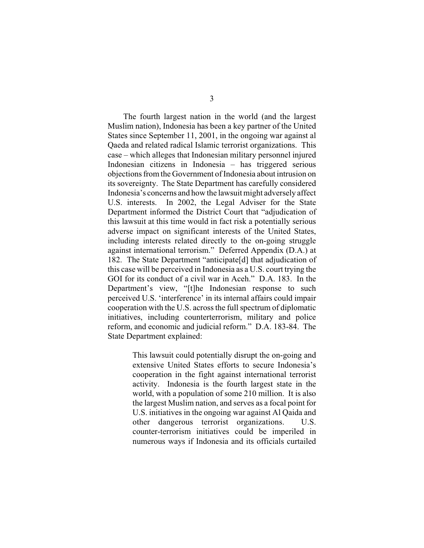The fourth largest nation in the world (and the largest Muslim nation), Indonesia has been a key partner of the United States since September 11, 2001, in the ongoing war against al Qaeda and related radical Islamic terrorist organizations. This case – which alleges that Indonesian military personnel injured Indonesian citizens in Indonesia – has triggered serious objections from the Government of Indonesia about intrusion on its sovereignty. The State Department has carefully considered Indonesia's concerns and how the lawsuit might adversely affect U.S. interests. In 2002, the Legal Adviser for the State Department informed the District Court that "adjudication of this lawsuit at this time would in fact risk a potentially serious adverse impact on significant interests of the United States, including interests related directly to the on-going struggle against international terrorism." Deferred Appendix (D.A.) at 182. The State Department "anticipate[d] that adjudication of this case will be perceived in Indonesia as a U.S. court trying the GOI for its conduct of a civil war in Aceh." D.A. 183. In the Department's view, "[t]he Indonesian response to such perceived U.S. 'interference' in its internal affairs could impair cooperation with the U.S. across the full spectrum of diplomatic initiatives, including counterterrorism, military and police reform, and economic and judicial reform." D.A. 183-84. The State Department explained:

> This lawsuit could potentially disrupt the on-going and extensive United States efforts to secure Indonesia's cooperation in the fight against international terrorist activity. Indonesia is the fourth largest state in the world, with a population of some 210 million. It is also the largest Muslim nation, and serves as a focal point for U.S. initiatives in the ongoing war against Al Qaida and other dangerous terrorist organizations. U.S. counter-terrorism initiatives could be imperiled in numerous ways if Indonesia and its officials curtailed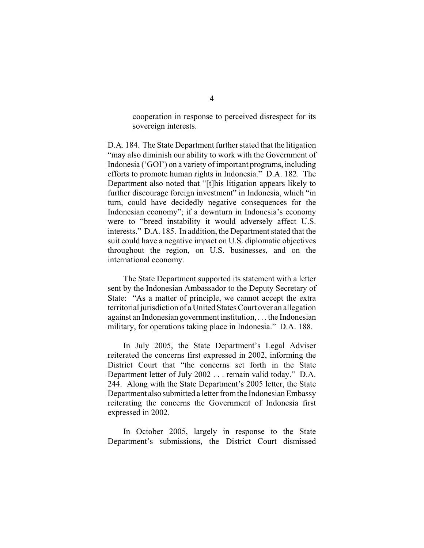cooperation in response to perceived disrespect for its sovereign interests.

D.A. 184. The State Department further stated that the litigation "may also diminish our ability to work with the Government of Indonesia ('GOI') on a variety of important programs, including efforts to promote human rights in Indonesia." D.A. 182. The Department also noted that "[t]his litigation appears likely to further discourage foreign investment" in Indonesia, which "in turn, could have decidedly negative consequences for the Indonesian economy"; if a downturn in Indonesia's economy were to "breed instability it would adversely affect U.S. interests." D.A. 185. In addition, the Department stated that the suit could have a negative impact on U.S. diplomatic objectives throughout the region, on U.S. businesses, and on the international economy.

The State Department supported its statement with a letter sent by the Indonesian Ambassador to the Deputy Secretary of State: "As a matter of principle, we cannot accept the extra territorial jurisdiction of a United States Court over an allegation against an Indonesian government institution, . . . the Indonesian military, for operations taking place in Indonesia." D.A. 188.

In July 2005, the State Department's Legal Adviser reiterated the concerns first expressed in 2002, informing the District Court that "the concerns set forth in the State Department letter of July 2002 . . . remain valid today." D.A. 244. Along with the State Department's 2005 letter, the State Department also submitted a letter from the Indonesian Embassy reiterating the concerns the Government of Indonesia first expressed in 2002.

In October 2005, largely in response to the State Department's submissions, the District Court dismissed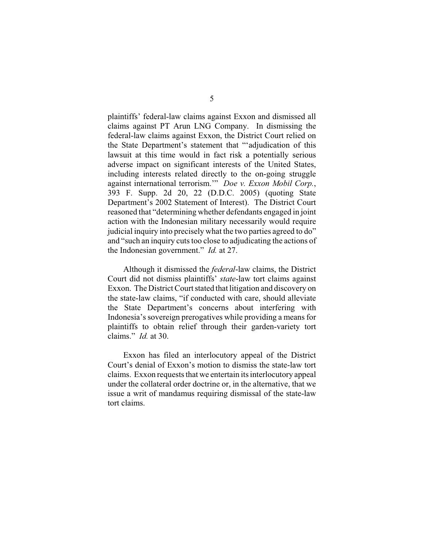plaintiffs' federal-law claims against Exxon and dismissed all claims against PT Arun LNG Company. In dismissing the federal-law claims against Exxon, the District Court relied on the State Department's statement that "'adjudication of this lawsuit at this time would in fact risk a potentially serious adverse impact on significant interests of the United States, including interests related directly to the on-going struggle against international terrorism.'" *Doe v. Exxon Mobil Corp.*, 393 F. Supp. 2d 20, 22 (D.D.C. 2005) (quoting State Department's 2002 Statement of Interest). The District Court reasoned that "determining whether defendants engaged in joint action with the Indonesian military necessarily would require judicial inquiry into precisely what the two parties agreed to do" and "such an inquiry cuts too close to adjudicating the actions of the Indonesian government." *Id.* at 27.

Although it dismissed the *federal*-law claims, the District Court did not dismiss plaintiffs' *state*-law tort claims against Exxon. The District Court stated that litigation and discovery on the state-law claims, "if conducted with care, should alleviate the State Department's concerns about interfering with Indonesia's sovereign prerogatives while providing a means for plaintiffs to obtain relief through their garden-variety tort claims." *Id.* at 30.

Exxon has filed an interlocutory appeal of the District Court's denial of Exxon's motion to dismiss the state-law tort claims. Exxon requests that we entertain its interlocutory appeal under the collateral order doctrine or, in the alternative, that we issue a writ of mandamus requiring dismissal of the state-law tort claims.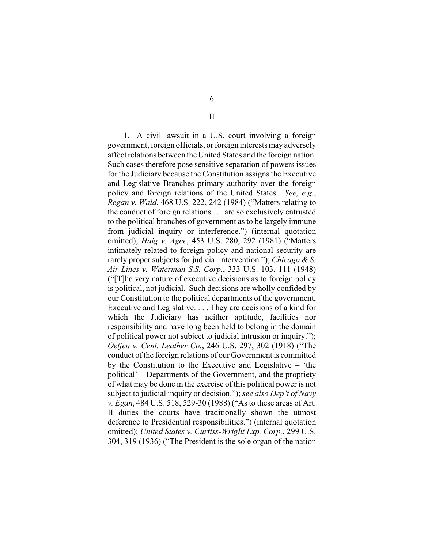1. A civil lawsuit in a U.S. court involving a foreign government, foreign officials, or foreign interests may adversely affect relations between the United States and the foreign nation. Such cases therefore pose sensitive separation of powers issues for the Judiciary because the Constitution assigns the Executive and Legislative Branches primary authority over the foreign policy and foreign relations of the United States. *See, e.g.*, *Regan v. Wald*, 468 U.S. 222, 242 (1984) ("Matters relating to the conduct of foreign relations . . . are so exclusively entrusted to the political branches of government as to be largely immune from judicial inquiry or interference.") (internal quotation omitted); *Haig v. Agee*, 453 U.S. 280, 292 (1981) ("Matters intimately related to foreign policy and national security are rarely proper subjects for judicial intervention."); *Chicago & S. Air Lines v. Waterman S.S. Corp.*, 333 U.S. 103, 111 (1948) ("[T]he very nature of executive decisions as to foreign policy is political, not judicial. Such decisions are wholly confided by our Constitution to the political departments of the government, Executive and Legislative. . . . They are decisions of a kind for which the Judiciary has neither aptitude, facilities nor responsibility and have long been held to belong in the domain of political power not subject to judicial intrusion or inquiry."); *Oetjen v. Cent. Leather Co.*, 246 U.S. 297, 302 (1918) ("The conduct of the foreign relations of our Government is committed by the Constitution to the Executive and Legislative – 'the political' – Departments of the Government, and the propriety of what may be done in the exercise of this political power is not subject to judicial inquiry or decision."); *see also Dep't of Navy v. Egan*, 484 U.S. 518, 529-30 (1988) ("As to these areas of Art. II duties the courts have traditionally shown the utmost deference to Presidential responsibilities.") (internal quotation omitted); *United States v. Curtiss-Wright Exp. Corp.*, 299 U.S. 304, 319 (1936) ("The President is the sole organ of the nation

6

II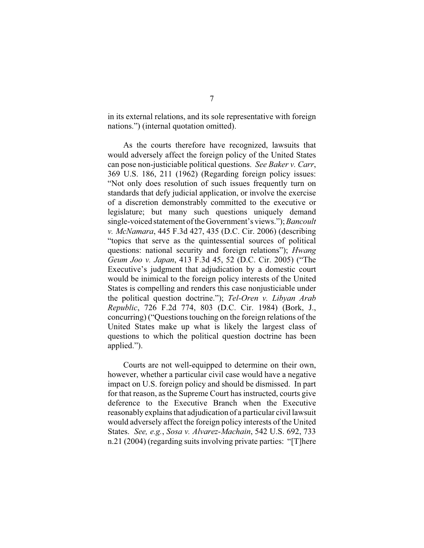in its external relations, and its sole representative with foreign nations.") (internal quotation omitted).

As the courts therefore have recognized, lawsuits that would adversely affect the foreign policy of the United States can pose non-justiciable political questions. *See Baker v. Carr*, 369 U.S. 186, 211 (1962) (Regarding foreign policy issues: "Not only does resolution of such issues frequently turn on standards that defy judicial application, or involve the exercise of a discretion demonstrably committed to the executive or legislature; but many such questions uniquely demand single-voiced statement of the Government's views."); *Bancoult v. McNamara*, 445 F.3d 427, 435 (D.C. Cir. 2006) (describing "topics that serve as the quintessential sources of political questions: national security and foreign relations"); *Hwang Geum Joo v. Japan*, 413 F.3d 45, 52 (D.C. Cir. 2005) ("The Executive's judgment that adjudication by a domestic court would be inimical to the foreign policy interests of the United States is compelling and renders this case nonjusticiable under the political question doctrine."); *Tel-Oren v. Libyan Arab Republic*, 726 F.2d 774, 803 (D.C. Cir. 1984) (Bork, J., concurring) ("Questions touching on the foreign relations of the United States make up what is likely the largest class of questions to which the political question doctrine has been applied.").

Courts are not well-equipped to determine on their own, however, whether a particular civil case would have a negative impact on U.S. foreign policy and should be dismissed. In part for that reason, as the Supreme Court has instructed, courts give deference to the Executive Branch when the Executive reasonably explains that adjudication of a particular civil lawsuit would adversely affect the foreign policy interests of the United States. *See, e.g.*, *Sosa v. Alvarez-Machain*, 542 U.S. 692, 733 n.21 (2004) (regarding suits involving private parties: "[T]here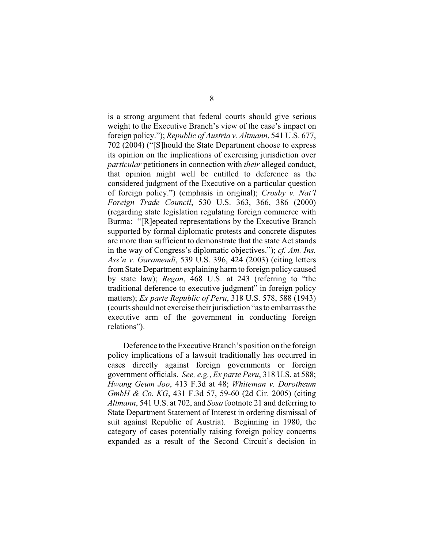is a strong argument that federal courts should give serious weight to the Executive Branch's view of the case's impact on foreign policy."); *Republic of Austria v. Altmann*, 541 U.S. 677, 702 (2004) ("[S]hould the State Department choose to express its opinion on the implications of exercising jurisdiction over *particular* petitioners in connection with *their* alleged conduct, that opinion might well be entitled to deference as the considered judgment of the Executive on a particular question of foreign policy.") (emphasis in original); *Crosby v. Nat'l Foreign Trade Council*, 530 U.S. 363, 366, 386 (2000) (regarding state legislation regulating foreign commerce with Burma: "[R]epeated representations by the Executive Branch supported by formal diplomatic protests and concrete disputes are more than sufficient to demonstrate that the state Act stands in the way of Congress's diplomatic objectives."); *cf. Am. Ins. Ass'n v. Garamendi*, 539 U.S. 396, 424 (2003) (citing letters from State Department explaining harm to foreign policy caused by state law); *Regan*, 468 U.S. at 243 (referring to "the traditional deference to executive judgment" in foreign policy matters); *Ex parte Republic of Peru*, 318 U.S. 578, 588 (1943) (courts should not exercise their jurisdiction "as to embarrass the executive arm of the government in conducting foreign relations").

Deference to the Executive Branch's position on the foreign policy implications of a lawsuit traditionally has occurred in cases directly against foreign governments or foreign government officials. *See, e.g.*, *Ex parte Peru*, 318 U.S. at 588; *Hwang Geum Joo*, 413 F.3d at 48; *Whiteman v. Dorotheum GmbH & Co. KG*, 431 F.3d 57, 59-60 (2d Cir. 2005) (citing *Altmann*, 541 U.S. at 702, and *Sosa* footnote 21 and deferring to State Department Statement of Interest in ordering dismissal of suit against Republic of Austria). Beginning in 1980, the category of cases potentially raising foreign policy concerns expanded as a result of the Second Circuit's decision in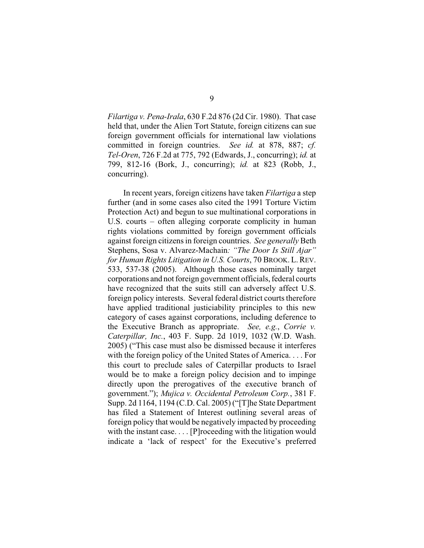*Filartiga v. Pena-Irala*, 630 F.2d 876 (2d Cir. 1980). That case held that, under the Alien Tort Statute, foreign citizens can sue foreign government officials for international law violations committed in foreign countries. *See id.* at 878, 887; *cf. Tel-Oren*, 726 F.2d at 775, 792 (Edwards, J., concurring); *id.* at 799, 812-16 (Bork, J., concurring); *id.* at 823 (Robb, J., concurring).

In recent years, foreign citizens have taken *Filartiga* a step further (and in some cases also cited the 1991 Torture Victim Protection Act) and begun to sue multinational corporations in U.S. courts – often alleging corporate complicity in human rights violations committed by foreign government officials against foreign citizens in foreign countries. *See generally* Beth Stephens, Sosa v. Alvarez-Machain*: "The Door Is Still Ajar" for Human Rights Litigation in U.S. Courts*, 70 BROOK. L.REV. 533, 537-38 (2005). Although those cases nominally target corporations and not foreign government officials, federal courts have recognized that the suits still can adversely affect U.S. foreign policy interests. Several federal district courts therefore have applied traditional justiciability principles to this new category of cases against corporations, including deference to the Executive Branch as appropriate. *See, e.g.*, *Corrie v. Caterpillar, Inc.*, 403 F. Supp. 2d 1019, 1032 (W.D. Wash. 2005) ("This case must also be dismissed because it interferes with the foreign policy of the United States of America. . . . For this court to preclude sales of Caterpillar products to Israel would be to make a foreign policy decision and to impinge directly upon the prerogatives of the executive branch of government."); *Mujica v. Occidental Petroleum Corp.*, 381 F. Supp. 2d 1164, 1194 (C.D. Cal. 2005) ("[T]he State Department has filed a Statement of Interest outlining several areas of foreign policy that would be negatively impacted by proceeding with the instant case.... [P]roceeding with the litigation would indicate a 'lack of respect' for the Executive's preferred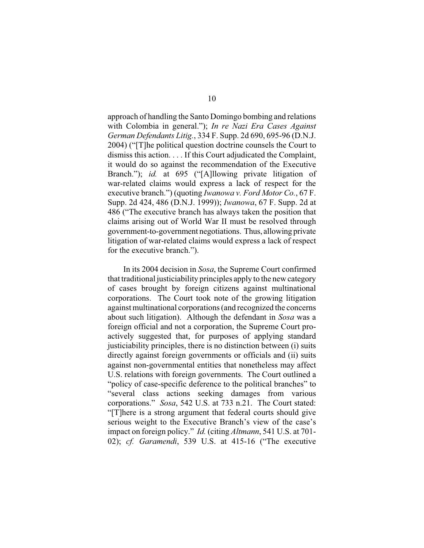approach of handling the Santo Domingo bombing and relations with Colombia in general."); *In re Nazi Era Cases Against German Defendants Litig.*, 334 F. Supp. 2d 690, 695-96 (D.N.J. 2004) ("[T]he political question doctrine counsels the Court to dismiss this action. . . . If this Court adjudicated the Complaint, it would do so against the recommendation of the Executive Branch."); *id.* at 695 ("[A]llowing private litigation of war-related claims would express a lack of respect for the executive branch.") (quoting *Iwanowa v. Ford Motor Co.*, 67 F. Supp. 2d 424, 486 (D.N.J. 1999)); *Iwanowa*, 67 F. Supp. 2d at 486 ("The executive branch has always taken the position that claims arising out of World War II must be resolved through government-to-government negotiations. Thus, allowing private litigation of war-related claims would express a lack of respect for the executive branch.").

In its 2004 decision in *Sosa*, the Supreme Court confirmed that traditional justiciability principles apply to the new category of cases brought by foreign citizens against multinational corporations. The Court took note of the growing litigation against multinational corporations (and recognized the concerns about such litigation). Although the defendant in *Sosa* was a foreign official and not a corporation, the Supreme Court proactively suggested that, for purposes of applying standard justiciability principles, there is no distinction between (i) suits directly against foreign governments or officials and (ii) suits against non-governmental entities that nonetheless may affect U.S. relations with foreign governments. The Court outlined a "policy of case-specific deference to the political branches" to "several class actions seeking damages from various corporations." *Sosa*, 542 U.S. at 733 n.21. The Court stated: "[T]here is a strong argument that federal courts should give serious weight to the Executive Branch's view of the case's impact on foreign policy." *Id.* (citing *Altmann*, 541 U.S. at 701- 02); *cf. Garamendi*, 539 U.S. at 415-16 ("The executive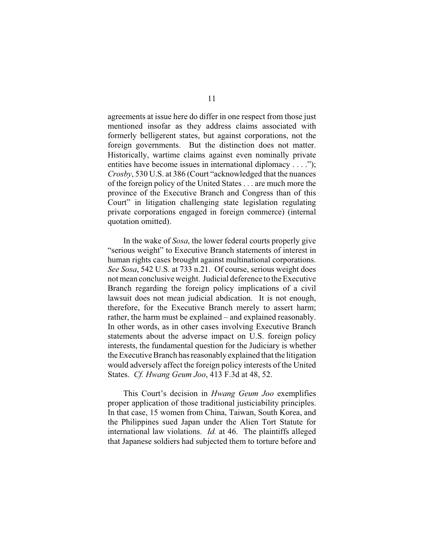agreements at issue here do differ in one respect from those just mentioned insofar as they address claims associated with formerly belligerent states, but against corporations, not the foreign governments. But the distinction does not matter. Historically, wartime claims against even nominally private entities have become issues in international diplomacy . . . ."); *Crosby*, 530 U.S. at 386 (Court "acknowledged that the nuances of the foreign policy of the United States . . . are much more the province of the Executive Branch and Congress than of this Court" in litigation challenging state legislation regulating private corporations engaged in foreign commerce) (internal quotation omitted).

In the wake of *Sosa*, the lower federal courts properly give "serious weight" to Executive Branch statements of interest in human rights cases brought against multinational corporations. *See Sosa*, 542 U.S. at 733 n.21. Of course, serious weight does not mean conclusive weight. Judicial deference to the Executive Branch regarding the foreign policy implications of a civil lawsuit does not mean judicial abdication. It is not enough, therefore, for the Executive Branch merely to assert harm; rather, the harm must be explained – and explained reasonably. In other words, as in other cases involving Executive Branch statements about the adverse impact on U.S. foreign policy interests, the fundamental question for the Judiciary is whether the Executive Branch has reasonably explained that the litigation would adversely affect the foreign policy interests of the United States. *Cf. Hwang Geum Joo*, 413 F.3d at 48, 52.

This Court's decision in *Hwang Geum Joo* exemplifies proper application of those traditional justiciability principles. In that case, 15 women from China, Taiwan, South Korea, and the Philippines sued Japan under the Alien Tort Statute for international law violations. *Id.* at 46. The plaintiffs alleged that Japanese soldiers had subjected them to torture before and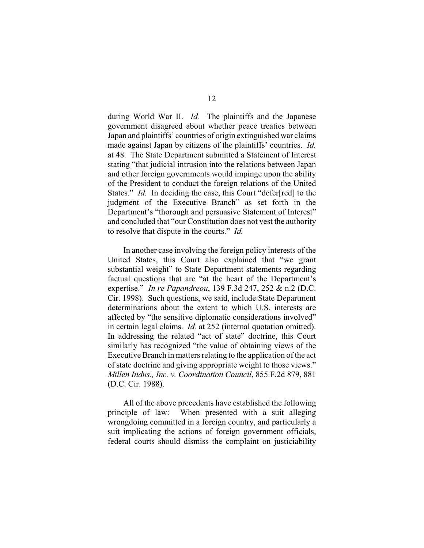during World War II. *Id.* The plaintiffs and the Japanese government disagreed about whether peace treaties between Japan and plaintiffs' countries of origin extinguished war claims made against Japan by citizens of the plaintiffs' countries. *Id.* at 48. The State Department submitted a Statement of Interest stating "that judicial intrusion into the relations between Japan and other foreign governments would impinge upon the ability of the President to conduct the foreign relations of the United States." *Id.* In deciding the case, this Court "defer[red] to the judgment of the Executive Branch" as set forth in the Department's "thorough and persuasive Statement of Interest" and concluded that "our Constitution does not vest the authority to resolve that dispute in the courts." *Id.*

In another case involving the foreign policy interests of the United States, this Court also explained that "we grant substantial weight" to State Department statements regarding factual questions that are "at the heart of the Department's expertise." *In re Papandreou*, 139 F.3d 247, 252 & n.2 (D.C. Cir. 1998). Such questions, we said, include State Department determinations about the extent to which U.S. interests are affected by "the sensitive diplomatic considerations involved" in certain legal claims. *Id.* at 252 (internal quotation omitted). In addressing the related "act of state" doctrine, this Court similarly has recognized "the value of obtaining views of the Executive Branch in matters relating to the application of the act of state doctrine and giving appropriate weight to those views." *Millen Indus., Inc. v. Coordination Council*, 855 F.2d 879, 881 (D.C. Cir. 1988).

All of the above precedents have established the following principle of law: When presented with a suit alleging wrongdoing committed in a foreign country, and particularly a suit implicating the actions of foreign government officials, federal courts should dismiss the complaint on justiciability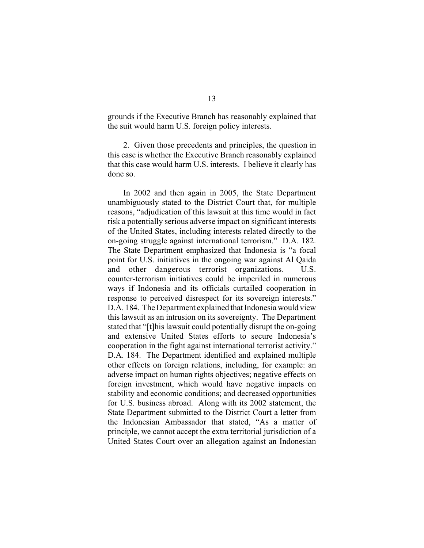grounds if the Executive Branch has reasonably explained that the suit would harm U.S. foreign policy interests.

2. Given those precedents and principles, the question in this case is whether the Executive Branch reasonably explained that this case would harm U.S. interests. I believe it clearly has done so.

In 2002 and then again in 2005, the State Department unambiguously stated to the District Court that, for multiple reasons, "adjudication of this lawsuit at this time would in fact risk a potentially serious adverse impact on significant interests of the United States, including interests related directly to the on-going struggle against international terrorism." D.A. 182. The State Department emphasized that Indonesia is "a focal point for U.S. initiatives in the ongoing war against Al Qaida and other dangerous terrorist organizations. U.S. counter-terrorism initiatives could be imperiled in numerous ways if Indonesia and its officials curtailed cooperation in response to perceived disrespect for its sovereign interests." D.A. 184. The Department explained that Indonesia would view this lawsuit as an intrusion on its sovereignty. The Department stated that "[t]his lawsuit could potentially disrupt the on-going and extensive United States efforts to secure Indonesia's cooperation in the fight against international terrorist activity." D.A. 184. The Department identified and explained multiple other effects on foreign relations, including, for example: an adverse impact on human rights objectives; negative effects on foreign investment, which would have negative impacts on stability and economic conditions; and decreased opportunities for U.S. business abroad. Along with its 2002 statement, the State Department submitted to the District Court a letter from the Indonesian Ambassador that stated, "As a matter of principle, we cannot accept the extra territorial jurisdiction of a United States Court over an allegation against an Indonesian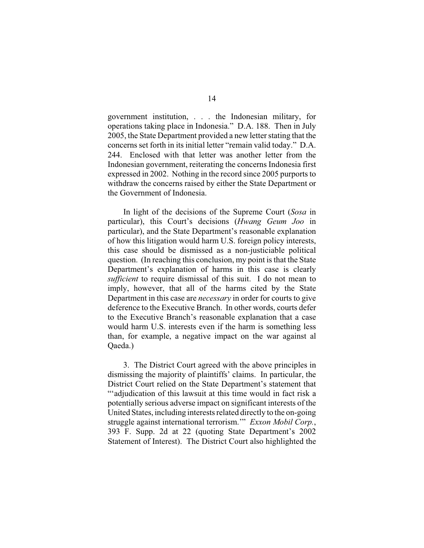government institution, . . . the Indonesian military, for operations taking place in Indonesia." D.A. 188. Then in July 2005, the State Department provided a new letter stating that the concerns set forth in its initial letter "remain valid today." D.A. 244. Enclosed with that letter was another letter from the Indonesian government, reiterating the concerns Indonesia first expressed in 2002. Nothing in the record since 2005 purports to withdraw the concerns raised by either the State Department or the Government of Indonesia.

In light of the decisions of the Supreme Court (*Sosa* in particular), this Court's decisions (*Hwang Geum Joo* in particular), and the State Department's reasonable explanation of how this litigation would harm U.S. foreign policy interests, this case should be dismissed as a non-justiciable political question. (In reaching this conclusion, my point is that the State Department's explanation of harms in this case is clearly *sufficient* to require dismissal of this suit. I do not mean to imply, however, that all of the harms cited by the State Department in this case are *necessary* in order for courts to give deference to the Executive Branch. In other words, courts defer to the Executive Branch's reasonable explanation that a case would harm U.S. interests even if the harm is something less than, for example, a negative impact on the war against al Qaeda.)

3. The District Court agreed with the above principles in dismissing the majority of plaintiffs' claims. In particular, the District Court relied on the State Department's statement that "'adjudication of this lawsuit at this time would in fact risk a potentially serious adverse impact on significant interests of the United States, including interests related directly to the on-going struggle against international terrorism.'" *Exxon Mobil Corp.*, 393 F. Supp. 2d at 22 (quoting State Department's 2002 Statement of Interest). The District Court also highlighted the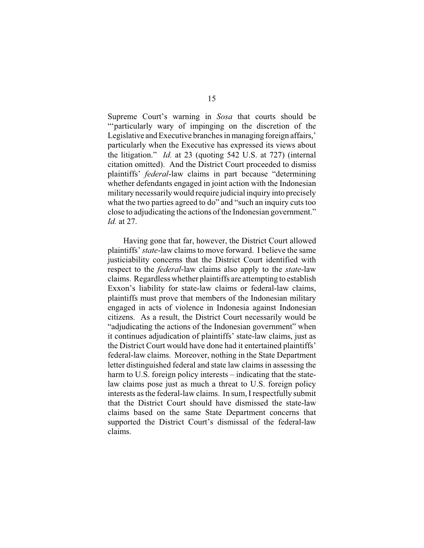Supreme Court's warning in *Sosa* that courts should be "'particularly wary of impinging on the discretion of the Legislative and Executive branches in managing foreign affairs,' particularly when the Executive has expressed its views about the litigation." *Id.* at 23 (quoting 542 U.S. at 727) (internal citation omitted). And the District Court proceeded to dismiss plaintiffs' *federal*-law claims in part because "determining whether defendants engaged in joint action with the Indonesian military necessarily would require judicial inquiry into precisely what the two parties agreed to do" and "such an inquiry cuts too close to adjudicating the actions of the Indonesian government." *Id.* at 27.

Having gone that far, however, the District Court allowed plaintiffs' *state*-law claims to move forward. I believe the same justiciability concerns that the District Court identified with respect to the *federal*-law claims also apply to the *state*-law claims. Regardless whether plaintiffs are attempting to establish Exxon's liability for state-law claims or federal-law claims, plaintiffs must prove that members of the Indonesian military engaged in acts of violence in Indonesia against Indonesian citizens. As a result, the District Court necessarily would be "adjudicating the actions of the Indonesian government" when it continues adjudication of plaintiffs' state-law claims, just as the District Court would have done had it entertained plaintiffs' federal-law claims. Moreover, nothing in the State Department letter distinguished federal and state law claims in assessing the harm to U.S. foreign policy interests – indicating that the statelaw claims pose just as much a threat to U.S. foreign policy interests as the federal-law claims. In sum, I respectfully submit that the District Court should have dismissed the state-law claims based on the same State Department concerns that supported the District Court's dismissal of the federal-law claims.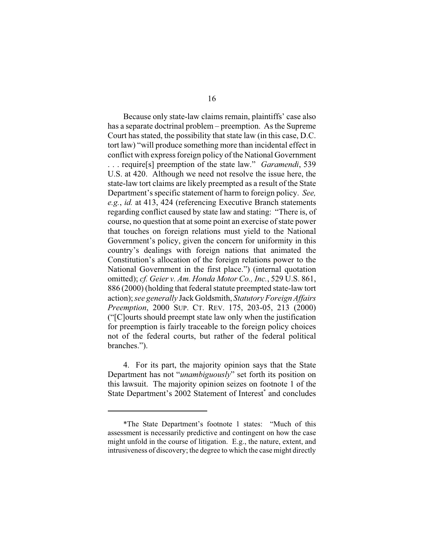Because only state-law claims remain, plaintiffs' case also has a separate doctrinal problem – preemption. As the Supreme Court has stated, the possibility that state law (in this case, D.C. tort law) "will produce something more than incidental effect in conflict with express foreign policy of the National Government . . . require[s] preemption of the state law." *Garamendi*, 539 U.S. at 420. Although we need not resolve the issue here, the state-law tort claims are likely preempted as a result of the State Department's specific statement of harm to foreign policy. *See, e.g.*, *id.* at 413, 424 (referencing Executive Branch statements regarding conflict caused by state law and stating: "There is, of course, no question that at some point an exercise of state power that touches on foreign relations must yield to the National Government's policy, given the concern for uniformity in this country's dealings with foreign nations that animated the Constitution's allocation of the foreign relations power to the National Government in the first place.") (internal quotation omitted); *cf. Geier v. Am. Honda Motor Co., Inc.*, 529 U.S. 861, 886 (2000) (holding that federal statute preempted state-law tort action); *see generally* Jack Goldsmith, *Statutory Foreign Affairs Preemption*, 2000 SUP. CT. REV. 175, 203-05, 213 (2000) ("[C]ourts should preempt state law only when the justification for preemption is fairly traceable to the foreign policy choices not of the federal courts, but rather of the federal political branches.").

4. For its part, the majority opinion says that the State Department has not "*unambiguously*" set forth its position on this lawsuit. The majority opinion seizes on footnote 1 of the State Department's 2002 Statement of Interest<sup>\*</sup> and concludes

<sup>\*</sup>The State Department's footnote 1 states: "Much of this assessment is necessarily predictive and contingent on how the case might unfold in the course of litigation. E.g., the nature, extent, and intrusiveness of discovery; the degree to which the case might directly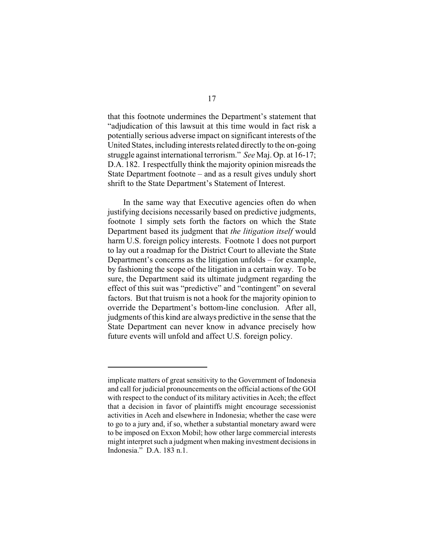that this footnote undermines the Department's statement that "adjudication of this lawsuit at this time would in fact risk a potentially serious adverse impact on significant interests of the United States, including interests related directly to the on-going struggle against international terrorism." *See* Maj. Op. at 16-17; D.A. 182. I respectfully think the majority opinion misreads the State Department footnote – and as a result gives unduly short shrift to the State Department's Statement of Interest.

In the same way that Executive agencies often do when justifying decisions necessarily based on predictive judgments, footnote 1 simply sets forth the factors on which the State Department based its judgment that *the litigation itself* would harm U.S. foreign policy interests. Footnote 1 does not purport to lay out a roadmap for the District Court to alleviate the State Department's concerns as the litigation unfolds – for example, by fashioning the scope of the litigation in a certain way. To be sure, the Department said its ultimate judgment regarding the effect of this suit was "predictive" and "contingent" on several factors. But that truism is not a hook for the majority opinion to override the Department's bottom-line conclusion. After all, judgments of this kind are always predictive in the sense that the State Department can never know in advance precisely how future events will unfold and affect U.S. foreign policy.

implicate matters of great sensitivity to the Government of Indonesia and call for judicial pronouncements on the official actions of the GOI with respect to the conduct of its military activities in Aceh; the effect that a decision in favor of plaintiffs might encourage secessionist activities in Aceh and elsewhere in Indonesia; whether the case were to go to a jury and, if so, whether a substantial monetary award were to be imposed on Exxon Mobil; how other large commercial interests might interpret such a judgment when making investment decisions in Indonesia." D.A. 183 n.1.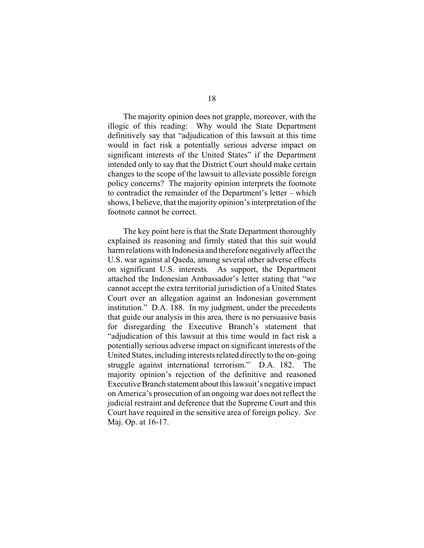The majority opinion does not grapple, moreover, with the illogic of this reading: Why would the State Department definitively say that "adjudication of this lawsuit at this time would in fact risk a potentially serious adverse impact on significant interests of the United States" if the Department intended only to say that the District Court should make certain changes to the scope of the lawsuit to alleviate possible foreign policy concerns? The majority opinion interprets the footnote to contradict the remainder of the Department's letter – which shows, I believe, that the majority opinion's interpretation of the footnote cannot be correct.

The key point here is that the State Department thoroughly explained its reasoning and firmly stated that this suit would harm relations with Indonesia and therefore negatively affect the U.S. war against al Qaeda, among several other adverse effects on significant U.S. interests. As support, the Department attached the Indonesian Ambassador's letter stating that "we cannot accept the extra territorial jurisdiction of a United States Court over an allegation against an Indonesian government institution." D.A. 188. In my judgment, under the precedents that guide our analysis in this area, there is no persuasive basis for disregarding the Executive Branch's statement that "adjudication of this lawsuit at this time would in fact risk a potentially serious adverse impact on significant interests of the United States, including interests related directly to the on-going struggle against international terrorism." D.A. 182. The majority opinion's rejection of the definitive and reasoned Executive Branch statement about this lawsuit's negative impact on America's prosecution of an ongoing war does not reflect the judicial restraint and deference that the Supreme Court and this Court have required in the sensitive area of foreign policy. *See* Maj. Op. at 16-17.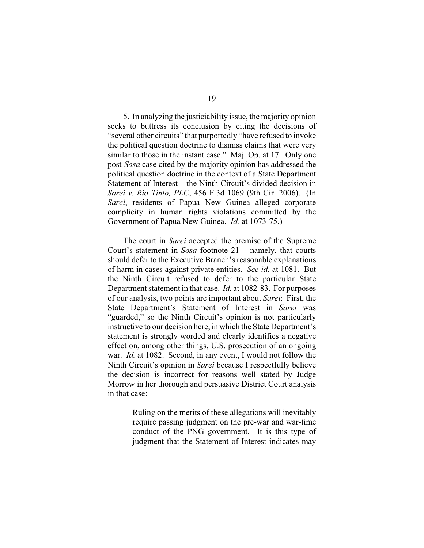5. In analyzing the justiciability issue, the majority opinion seeks to buttress its conclusion by citing the decisions of "several other circuits" that purportedly "have refused to invoke the political question doctrine to dismiss claims that were very similar to those in the instant case." Maj. Op. at 17. Only one post-*Sosa* case cited by the majority opinion has addressed the political question doctrine in the context of a State Department Statement of Interest – the Ninth Circuit's divided decision in *Sarei v. Rio Tinto, PLC*, 456 F.3d 1069 (9th Cir. 2006). (In *Sarei*, residents of Papua New Guinea alleged corporate complicity in human rights violations committed by the Government of Papua New Guinea. *Id.* at 1073-75.)

The court in *Sarei* accepted the premise of the Supreme Court's statement in *Sosa* footnote 21 – namely, that courts should defer to the Executive Branch's reasonable explanations of harm in cases against private entities. *See id.* at 1081. But the Ninth Circuit refused to defer to the particular State Department statement in that case. *Id.* at 1082-83. For purposes of our analysis, two points are important about *Sarei*: First, the State Department's Statement of Interest in *Sarei* was "guarded," so the Ninth Circuit's opinion is not particularly instructive to our decision here, in which the State Department's statement is strongly worded and clearly identifies a negative effect on, among other things, U.S. prosecution of an ongoing war. *Id.* at 1082. Second, in any event, I would not follow the Ninth Circuit's opinion in *Sarei* because I respectfully believe the decision is incorrect for reasons well stated by Judge Morrow in her thorough and persuasive District Court analysis in that case:

> Ruling on the merits of these allegations will inevitably require passing judgment on the pre-war and war-time conduct of the PNG government. It is this type of judgment that the Statement of Interest indicates may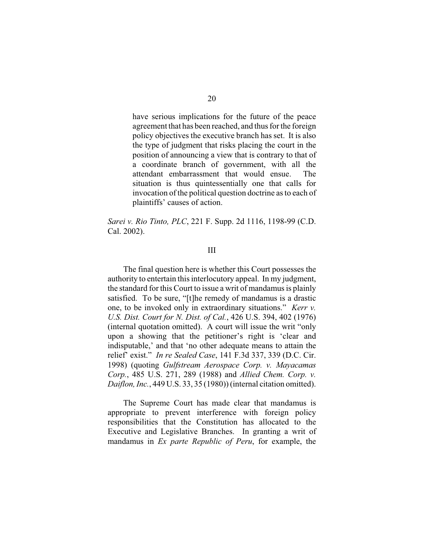have serious implications for the future of the peace agreement that has been reached, and thus for the foreign policy objectives the executive branch has set. It is also the type of judgment that risks placing the court in the position of announcing a view that is contrary to that of a coordinate branch of government, with all the attendant embarrassment that would ensue. The situation is thus quintessentially one that calls for invocation of the political question doctrine as to each of plaintiffs' causes of action.

*Sarei v. Rio Tinto, PLC*, 221 F. Supp. 2d 1116, 1198-99 (C.D. Cal. 2002).

#### III

The final question here is whether this Court possesses the authority to entertain this interlocutory appeal. In my judgment, the standard for this Court to issue a writ of mandamus is plainly satisfied. To be sure, "[t]he remedy of mandamus is a drastic one, to be invoked only in extraordinary situations." *Kerr v. U.S. Dist. Court for N. Dist. of Cal.*, 426 U.S. 394, 402 (1976) (internal quotation omitted). A court will issue the writ "only upon a showing that the petitioner's right is 'clear and indisputable,' and that 'no other adequate means to attain the relief' exist." *In re Sealed Case*, 141 F.3d 337, 339 (D.C. Cir. 1998) (quoting *Gulfstream Aerospace Corp. v. Mayacamas Corp.*, 485 U.S. 271, 289 (1988) and *Allied Chem. Corp. v. Daiflon, Inc.*, 449 U.S. 33, 35 (1980)) (internal citation omitted).

The Supreme Court has made clear that mandamus is appropriate to prevent interference with foreign policy responsibilities that the Constitution has allocated to the Executive and Legislative Branches. In granting a writ of mandamus in *Ex parte Republic of Peru*, for example, the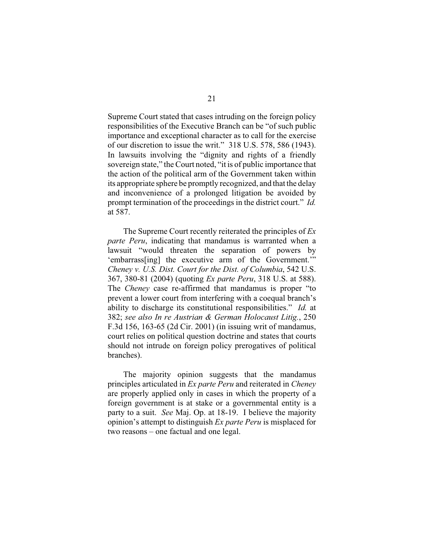Supreme Court stated that cases intruding on the foreign policy responsibilities of the Executive Branch can be "of such public importance and exceptional character as to call for the exercise of our discretion to issue the writ." 318 U.S. 578, 586 (1943). In lawsuits involving the "dignity and rights of a friendly sovereign state," the Court noted, "it is of public importance that the action of the political arm of the Government taken within its appropriate sphere be promptly recognized, and that the delay and inconvenience of a prolonged litigation be avoided by prompt termination of the proceedings in the district court." *Id.* at 587.

The Supreme Court recently reiterated the principles of *Ex parte Peru*, indicating that mandamus is warranted when a lawsuit "would threaten the separation of powers by 'embarrass[ing] the executive arm of the Government.'" *Cheney v. U.S. Dist. Court for the Dist. of Columbia*, 542 U.S. 367, 380-81 (2004) (quoting *Ex parte Peru*, 318 U.S. at 588). The *Cheney* case re-affirmed that mandamus is proper "to prevent a lower court from interfering with a coequal branch's ability to discharge its constitutional responsibilities." *Id.* at 382; *see also In re Austrian & German Holocaust Litig.*, 250 F.3d 156, 163-65 (2d Cir. 2001) (in issuing writ of mandamus, court relies on political question doctrine and states that courts should not intrude on foreign policy prerogatives of political branches).

The majority opinion suggests that the mandamus principles articulated in *Ex parte Peru* and reiterated in *Cheney* are properly applied only in cases in which the property of a foreign government is at stake or a governmental entity is a party to a suit. *See* Maj. Op. at 18-19. I believe the majority opinion's attempt to distinguish *Ex parte Peru* is misplaced for two reasons – one factual and one legal.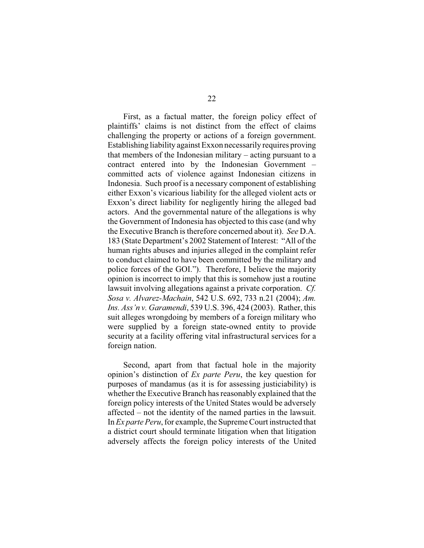First, as a factual matter, the foreign policy effect of plaintiffs' claims is not distinct from the effect of claims challenging the property or actions of a foreign government. Establishing liability against Exxon necessarily requires proving that members of the Indonesian military – acting pursuant to a contract entered into by the Indonesian Government – committed acts of violence against Indonesian citizens in Indonesia. Such proof is a necessary component of establishing either Exxon's vicarious liability for the alleged violent acts or Exxon's direct liability for negligently hiring the alleged bad actors. And the governmental nature of the allegations is why the Government of Indonesia has objected to this case (and why the Executive Branch is therefore concerned about it). *See* D.A. 183 (State Department's 2002 Statement of Interest: "All of the human rights abuses and injuries alleged in the complaint refer to conduct claimed to have been committed by the military and police forces of the GOI."). Therefore, I believe the majority opinion is incorrect to imply that this is somehow just a routine lawsuit involving allegations against a private corporation. *Cf. Sosa v. Alvarez-Machain*, 542 U.S. 692, 733 n.21 (2004); *Am. Ins. Ass'n v. Garamendi*, 539 U.S. 396, 424 (2003). Rather, this suit alleges wrongdoing by members of a foreign military who were supplied by a foreign state-owned entity to provide security at a facility offering vital infrastructural services for a foreign nation.

Second, apart from that factual hole in the majority opinion's distinction of *Ex parte Peru*, the key question for purposes of mandamus (as it is for assessing justiciability) is whether the Executive Branch has reasonably explained that the foreign policy interests of the United States would be adversely affected – not the identity of the named parties in the lawsuit. In *Ex parte Peru*, for example, the Supreme Court instructed that a district court should terminate litigation when that litigation adversely affects the foreign policy interests of the United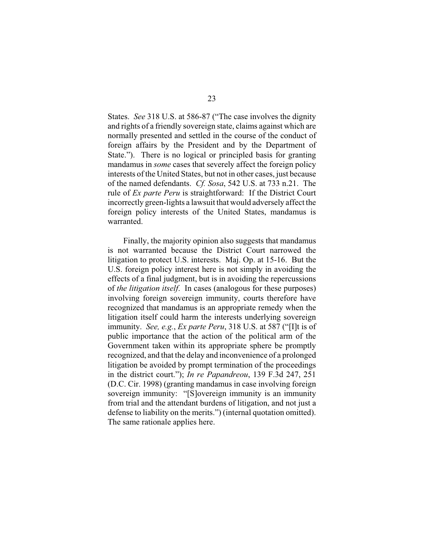States. *See* 318 U.S. at 586-87 ("The case involves the dignity and rights of a friendly sovereign state, claims against which are normally presented and settled in the course of the conduct of foreign affairs by the President and by the Department of State."). There is no logical or principled basis for granting mandamus in *some* cases that severely affect the foreign policy interests of the United States, but not in other cases, just because of the named defendants. *Cf. Sosa*, 542 U.S. at 733 n.21. The rule of *Ex parte Peru* is straightforward: If the District Court incorrectly green-lights a lawsuit that would adversely affect the foreign policy interests of the United States, mandamus is warranted.

Finally, the majority opinion also suggests that mandamus is not warranted because the District Court narrowed the litigation to protect U.S. interests. Maj. Op. at 15-16. But the U.S. foreign policy interest here is not simply in avoiding the effects of a final judgment, but is in avoiding the repercussions of *the litigation itself*. In cases (analogous for these purposes) involving foreign sovereign immunity, courts therefore have recognized that mandamus is an appropriate remedy when the litigation itself could harm the interests underlying sovereign immunity. *See, e.g.*, *Ex parte Peru*, 318 U.S. at 587 ("[I]t is of public importance that the action of the political arm of the Government taken within its appropriate sphere be promptly recognized, and that the delay and inconvenience of a prolonged litigation be avoided by prompt termination of the proceedings in the district court."); *In re Papandreou*, 139 F.3d 247, 251 (D.C. Cir. 1998) (granting mandamus in case involving foreign sovereign immunity: "[S]overeign immunity is an immunity from trial and the attendant burdens of litigation, and not just a defense to liability on the merits.") (internal quotation omitted). The same rationale applies here.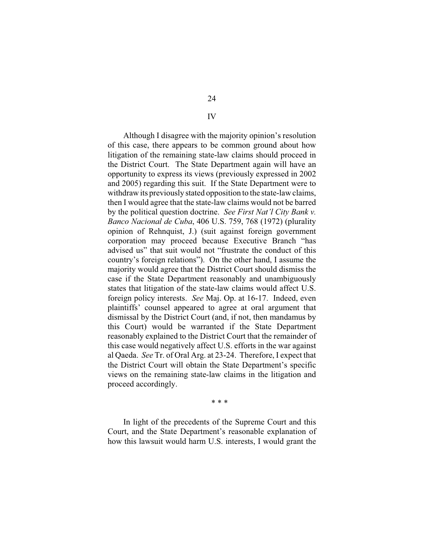Although I disagree with the majority opinion's resolution of this case, there appears to be common ground about how litigation of the remaining state-law claims should proceed in the District Court. The State Department again will have an opportunity to express its views (previously expressed in 2002 and 2005) regarding this suit. If the State Department were to withdraw its previously stated opposition to the state-law claims, then I would agree that the state-law claims would not be barred by the political question doctrine. *See First Nat'l City Bank v. Banco Nacional de Cuba*, 406 U.S. 759, 768 (1972) (plurality opinion of Rehnquist, J.) (suit against foreign government corporation may proceed because Executive Branch "has advised us" that suit would not "frustrate the conduct of this country's foreign relations"). On the other hand, I assume the majority would agree that the District Court should dismiss the case if the State Department reasonably and unambiguously states that litigation of the state-law claims would affect U.S. foreign policy interests. *See* Maj. Op. at 16-17. Indeed, even plaintiffs' counsel appeared to agree at oral argument that dismissal by the District Court (and, if not, then mandamus by this Court) would be warranted if the State Department reasonably explained to the District Court that the remainder of this case would negatively affect U.S. efforts in the war against al Qaeda. *See* Tr. of Oral Arg. at 23-24. Therefore, I expect that the District Court will obtain the State Department's specific views on the remaining state-law claims in the litigation and proceed accordingly.

\* \* \*

In light of the precedents of the Supreme Court and this Court, and the State Department's reasonable explanation of how this lawsuit would harm U.S. interests, I would grant the

#### IV